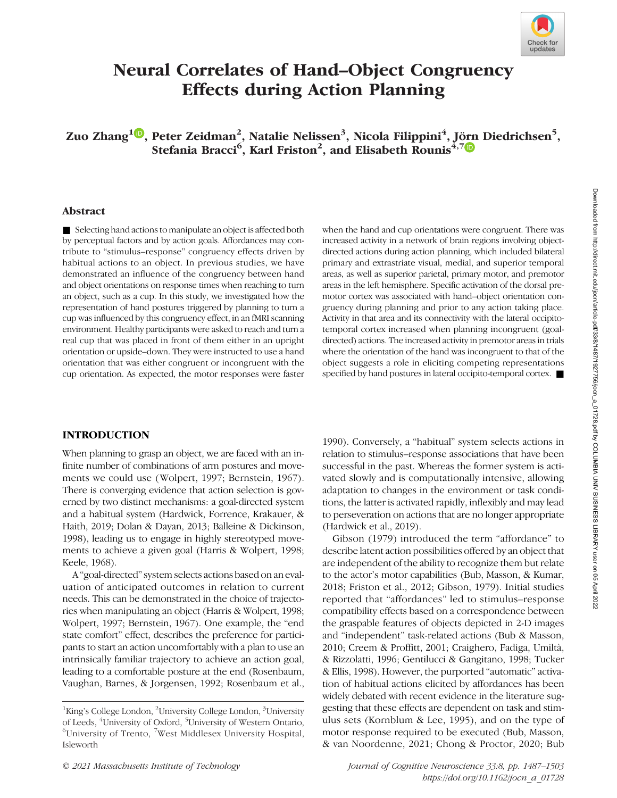

# Neural Correlates of Hand–Object Congruency Effects during Action Planning

Zuo Zhang $^{\mathbf{1} \textcolor{blue}{\textbf{10}}}$ , Peter Zeidman $^{\mathbf{2}},$  Natalie Nelissen $^{\mathbf{3}},$  Nicola Filippini $^{\mathbf{4}},$  J[örn](https://orcid.org/0000-0002-1375-1001) Diedrichsen $^{\mathbf{5}},$ Stefania Bracci<sup>6</sup>, Karl Friston<sup>2</sup>, and Elisabeth Rounis<sup>4,7</sup>

### Abstract

■ Selecting hand actions to manipulate an object is affected both by perceptual factors and by action goals. Affordances may contribute to "stimulus–response" congruency effects driven by habitual actions to an object. In previous studies, we have demonstrated an influence of the congruency between hand and object orientations on response times when reaching to turn an object, such as a cup. In this study, we investigated how the representation of hand postures triggered by planning to turn a cup was influenced by this congruency effect, in an fMRI scanning environment. Healthy participants were asked to reach and turn a real cup that was placed in front of them either in an upright orientation or upside–down. They were instructed to use a hand orientation that was either congruent or incongruent with the cup orientation. As expected, the motor responses were faster

when the hand and cup orientations were congruent. There was increased activity in a network of brain regions involving objectdirected actions during action planning, which included bilateral primary and extrastriate visual, medial, and superior temporal areas, as well as superior parietal, primary motor, and premotor areas in the left hemisphere. Specific activation of the dorsal premotor cortex was associated with hand–object orientation congruency during planning and prior to any action taking place. Activity in that area and its connectivity with the lateral occipitotemporal cortex increased when planning incongruent (goaldirected) actions. The increased activity in premotor areas in trials where the orientation of the hand was incongruent to that of the object suggests a role in eliciting competing representations specified by hand postures in lateral occipito-temporal cortex. ■

### INTRODUCTION

When planning to grasp an object, we are faced with an infinite number of combinations of arm postures and movements we could use (Wolpert, 1997; Bernstein, 1967). There is converging evidence that action selection is governed by two distinct mechanisms: a goal-directed system and a habitual system (Hardwick, Forrence, Krakauer, & Haith, 2019; Dolan & Dayan, 2013; Balleine & Dickinson, 1998), leading us to engage in highly stereotyped movements to achieve a given goal (Harris & Wolpert, 1998; Keele, 1968).

A "goal-directed" system selects actions based on an evaluation of anticipated outcomes in relation to current needs. This can be demonstrated in the choice of trajectories when manipulating an object (Harris & Wolpert, 1998; Wolpert, 1997; Bernstein, 1967). One example, the "end state comfort" effect, describes the preference for participants to start an action uncomfortably with a plan to use an intrinsically familiar trajectory to achieve an action goal, leading to a comfortable posture at the end (Rosenbaum, Vaughan, Barnes, & Jorgensen, 1992; Rosenbaum et al.,

1990). Conversely, a "habitual" system selects actions in relation to stimulus–response associations that have been successful in the past. Whereas the former system is activated slowly and is computationally intensive, allowing adaptation to changes in the environment or task conditions, the latter is activated rapidly, inflexibly and may lead to perseveration on actions that are no longer appropriate (Hardwick et al., 2019).

Gibson (1979) introduced the term "affordance" to describe latent action possibilities offered by an object that are independent of the ability to recognize them but relate to the actor's motor capabilities (Bub, Masson, & Kumar, 2018; Friston et al., 2012; Gibson, 1979). Initial studies reported that "affordances" led to stimulus–response compatibility effects based on a correspondence between the graspable features of objects depicted in 2-D images and "independent" task-related actions (Bub & Masson, 2010; Creem & Proffitt, 2001; Craighero, Fadiga, Umiltà, & Rizzolatti, 1996; Gentilucci & Gangitano, 1998; Tucker & Ellis, 1998). However, the purported "automatic" activation of habitual actions elicited by affordances has been widely debated with recent evidence in the literature suggesting that these effects are dependent on task and stimulus sets (Kornblum & Lee, 1995), and on the type of motor response required to be executed (Bub, Masson, & van Noordenne, 2021; Chong & Proctor, 2020; Bub

<sup>&</sup>lt;sup>1</sup>King's College London, <sup>2</sup>University College London, <sup>3</sup>University of Leeds, <sup>4</sup>University of Oxford, <sup>5</sup>University of Western Ontario, <sup>6</sup>University of Trento, <sup>7</sup>West Middlegey University Hospital University of Trento, <sup>7</sup>West Middlesex University Hospital, Isleworth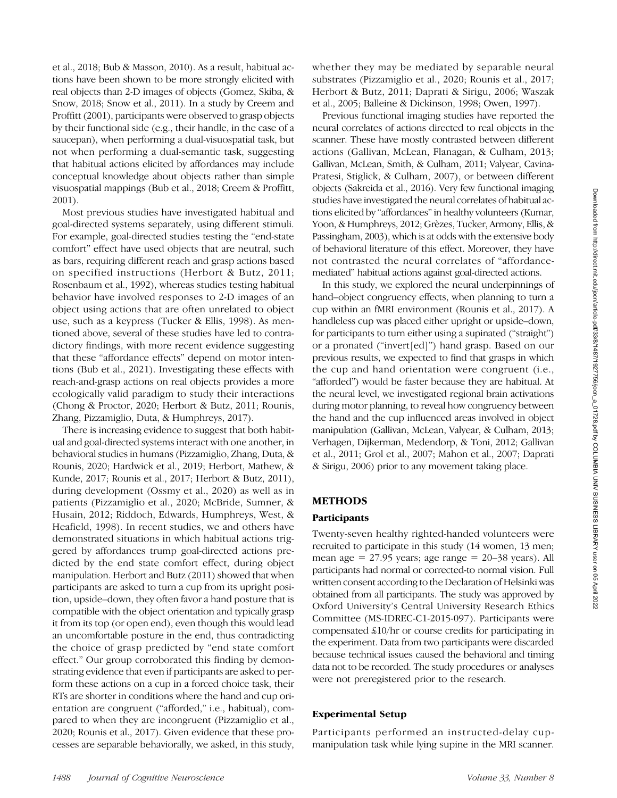et al., 2018; Bub & Masson, 2010). As a result, habitual actions have been shown to be more strongly elicited with real objects than 2-D images of objects (Gomez, Skiba, & Snow, 2018; Snow et al., 2011). In a study by Creem and Proffitt (2001), participants were observed to grasp objects by their functional side (e.g., their handle, in the case of a saucepan), when performing a dual-visuospatial task, but not when performing a dual-semantic task, suggesting that habitual actions elicited by affordances may include conceptual knowledge about objects rather than simple visuospatial mappings (Bub et al., 2018; Creem & Proffitt, 2001).

Most previous studies have investigated habitual and goal-directed systems separately, using different stimuli. For example, goal-directed studies testing the "end-state comfort" effect have used objects that are neutral, such as bars, requiring different reach and grasp actions based on specified instructions (Herbort & Butz, 2011; Rosenbaum et al., 1992), whereas studies testing habitual behavior have involved responses to 2-D images of an object using actions that are often unrelated to object use, such as a keypress (Tucker & Ellis, 1998). As mentioned above, several of these studies have led to contradictory findings, with more recent evidence suggesting that these "affordance effects" depend on motor intentions (Bub et al., 2021). Investigating these effects with reach-and-grasp actions on real objects provides a more ecologically valid paradigm to study their interactions (Chong & Proctor, 2020; Herbort & Butz, 2011; Rounis, Zhang, Pizzamiglio, Duta, & Humphreys, 2017).

There is increasing evidence to suggest that both habitual and goal-directed systems interact with one another, in behavioral studies in humans (Pizzamiglio, Zhang, Duta, & Rounis, 2020; Hardwick et al., 2019; Herbort, Mathew, & Kunde, 2017; Rounis et al., 2017; Herbort & Butz, 2011), during development (Ossmy et al., 2020) as well as in patients (Pizzamiglio et al., 2020; McBride, Sumner, & Husain, 2012; Riddoch, Edwards, Humphreys, West, & Heafield, 1998). In recent studies, we and others have demonstrated situations in which habitual actions triggered by affordances trump goal-directed actions predicted by the end state comfort effect, during object manipulation. Herbort and Butz (2011) showed that when participants are asked to turn a cup from its upright position, upside–down, they often favor a hand posture that is compatible with the object orientation and typically grasp it from its top (or open end), even though this would lead an uncomfortable posture in the end, thus contradicting the choice of grasp predicted by "end state comfort effect." Our group corroborated this finding by demonstrating evidence that even if participants are asked to perform these actions on a cup in a forced choice task, their RTs are shorter in conditions where the hand and cup orientation are congruent ("afforded," i.e., habitual), compared to when they are incongruent (Pizzamiglio et al., 2020; Rounis et al., 2017). Given evidence that these processes are separable behaviorally, we asked, in this study,

whether they may be mediated by separable neural substrates (Pizzamiglio et al., 2020; Rounis et al., 2017; Herbort & Butz, 2011; Daprati & Sirigu, 2006; Waszak et al., 2005; Balleine & Dickinson, 1998; Owen, 1997).

Previous functional imaging studies have reported the neural correlates of actions directed to real objects in the scanner. These have mostly contrasted between different actions (Gallivan, McLean, Flanagan, & Culham, 2013; Gallivan, McLean, Smith, & Culham, 2011; Valyear, Cavina-Pratesi, Stiglick, & Culham, 2007), or between different objects (Sakreida et al., 2016). Very few functional imaging studies have investigated the neural correlates of habitual actions elicited by "affordances"in healthy volunteers (Kumar, Yoon, & Humphreys, 2012; Grèzes, Tucker, Armony, Ellis, & Passingham, 2003), which is at odds with the extensive body of behavioral literature of this effect. Moreover, they have not contrasted the neural correlates of "affordancemediated" habitual actions against goal-directed actions.

In this study, we explored the neural underpinnings of hand–object congruency effects, when planning to turn a cup within an fMRI environment (Rounis et al., 2017). A handleless cup was placed either upright or upside–down, for participants to turn either using a supinated ("straight") or a pronated ("invert[ed]") hand grasp. Based on our previous results, we expected to find that grasps in which the cup and hand orientation were congruent (i.e., "afforded") would be faster because they are habitual. At the neural level, we investigated regional brain activations during motor planning, to reveal how congruency between the hand and the cup influenced areas involved in object manipulation (Gallivan, McLean, Valyear, & Culham, 2013; Verhagen, Dijkerman, Medendorp, & Toni, 2012; Gallivan et al., 2011; Grol et al., 2007; Mahon et al., 2007; Daprati & Sirigu, 2006) prior to any movement taking place.

## METHODS

### **Participants**

Twenty-seven healthy righted-handed volunteers were recruited to participate in this study (14 women, 13 men; mean age =  $27.95$  years; age range =  $20-38$  years). All participants had normal or corrected-to normal vision. Full written consent according to the Declaration of Helsinki was obtained from all participants. The study was approved by Oxford University's Central University Research Ethics Committee (MS-IDREC-C1-2015-097). Participants were compensated £10/hr or course credits for participating in the experiment. Data from two participants were discarded because technical issues caused the behavioral and timing data not to be recorded. The study procedures or analyses were not preregistered prior to the research.

### Experimental Setup

Participants performed an instructed-delay cupmanipulation task while lying supine in the MRI scanner.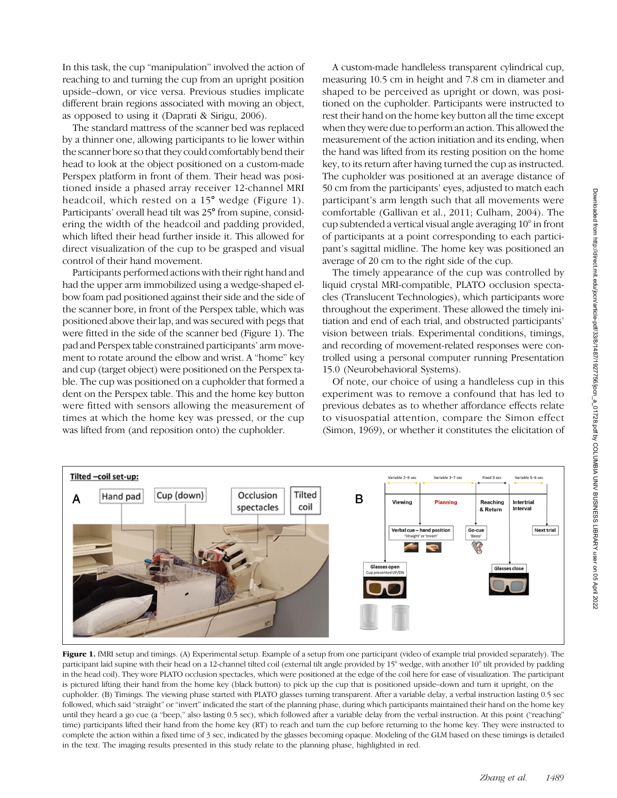In this task, the cup "manipulation" involved the action of reaching to and turning the cup from an upright position upside–down, or vice versa. Previous studies implicate different brain regions associated with moving an object, as opposed to using it (Daprati & Sirigu, 2006).

The standard mattress of the scanner bed was replaced by a thinner one, allowing participants to lie lower within the scanner bore so that they could comfortably bend their head to look at the object positioned on a custom-made Perspex platform in front of them. Their head was positioned inside a phased array receiver 12-channel MRI headcoil, which rested on a 15° wedge (Figure 1). Participants' overall head tilt was 25° from supine, considering the width of the headcoil and padding provided, which lifted their head further inside it. This allowed for direct visualization of the cup to be grasped and visual control of their hand movement.

Participants performed actions with their right hand and had the upper arm immobilized using a wedge-shaped elbow foam pad positioned against their side and the side of the scanner bore, in front of the Perspex table, which was positioned above their lap, and was secured with pegs that were fitted in the side of the scanner bed (Figure 1). The pad and Perspex table constrained participants' arm movement to rotate around the elbow and wrist. A "home" key and cup (target object) were positioned on the Perspex table. The cup was positioned on a cupholder that formed a dent on the Perspex table. This and the home key button were fitted with sensors allowing the measurement of times at which the home key was pressed, or the cup was lifted from (and reposition onto) the cupholder.

A custom-made handleless transparent cylindrical cup, measuring 10.5 cm in height and 7.8 cm in diameter and shaped to be perceived as upright or down, was positioned on the cupholder. Participants were instructed to rest their hand on the home key button all the time except when they were due to perform an action. This allowed the measurement of the action initiation and its ending, when the hand was lifted from its resting position on the home key, to its return after having turned the cup as instructed. The cupholder was positioned at an average distance of 50 cm from the participants' eyes, adjusted to match each participant's arm length such that all movements were comfortable (Gallivan et al., 2011; Culham, 2004). The cup subtended a vertical visual angle averaging 10° in front of participants at a point corresponding to each participant's sagittal midline. The home key was positioned an average of 20 cm to the right side of the cup.

The timely appearance of the cup was controlled by liquid crystal MRI-compatible, PLATO occlusion spectacles (Translucent Technologies), which participants wore throughout the experiment. These allowed the timely initiation and end of each trial, and obstructed participants' vision between trials. Experimental conditions, timings, and recording of movement-related responses were controlled using a personal computer running Presentation 15.0 (Neurobehavioral Systems).

Of note, our choice of using a handleless cup in this experiment was to remove a confound that has led to previous debates as to whether affordance effects relate to visuospatial attention, compare the Simon effect (Simon, 1969), or whether it constitutes the elicitation of



Figure 1. fMRI setup and timings. (A) Experimental setup. Example of a setup from one participant (video of example trial provided separately). The participant laid supine with their head on a 12-channel tilted coil (external tilt angle provided by 15° wedge, with another 10° tilt provided by padding in the head coil). They wore PLATO occlusion spectacles, which were positioned at the edge of the coil here for ease of visualization. The participant is pictured lifting their hand from the home key (black button) to pick up the cup that is positioned upside–down and turn it upright, on the cupholder. (B) Timings. The viewing phase started with PLATO glasses turning transparent. After a variable delay, a verbal instruction lasting 0.5 sec followed, which said "straight" or "invert" indicated the start of the planning phase, during which participants maintained their hand on the home key until they heard a go cue (a "beep," also lasting 0.5 sec), which followed after a variable delay from the verbal instruction. At this point ("reaching" time) participants lifted their hand from the home key (RT) to reach and turn the cup before returning to the home key. They were instructed to complete the action within a fixed time of 3 sec, indicated by the glasses becoming opaque. Modeling of the GLM based on these timings is detailed in the text. The imaging results presented in this study relate to the planning phase, highlighted in red.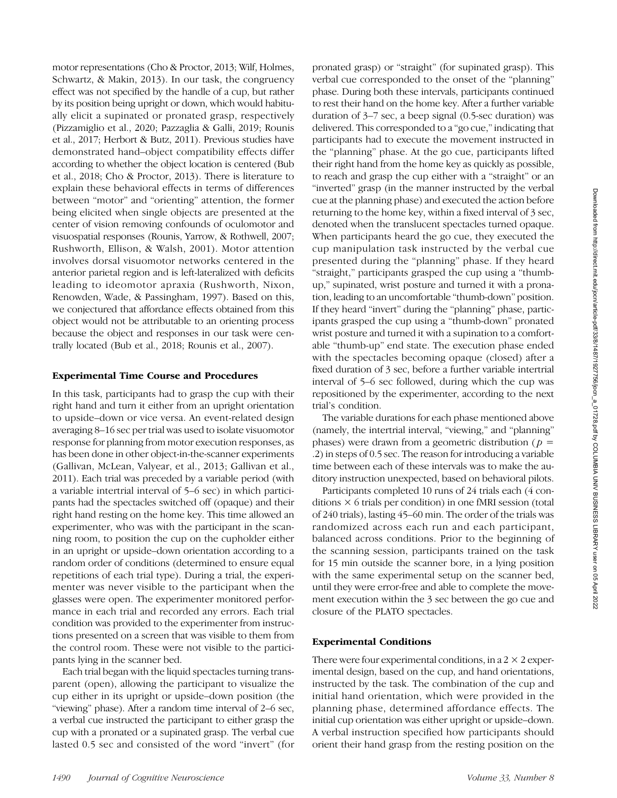motor representations (Cho & Proctor, 2013; Wilf, Holmes, Schwartz, & Makin, 2013). In our task, the congruency effect was not specified by the handle of a cup, but rather by its position being upright or down, which would habitually elicit a supinated or pronated grasp, respectively (Pizzamiglio et al., 2020; Pazzaglia & Galli, 2019; Rounis et al., 2017; Herbort & Butz, 2011). Previous studies have demonstrated hand–object compatibility effects differ according to whether the object location is centered (Bub et al., 2018; Cho & Proctor, 2013). There is literature to explain these behavioral effects in terms of differences between "motor" and "orienting" attention, the former being elicited when single objects are presented at the center of vision removing confounds of oculomotor and visuospatial responses (Rounis, Yarrow, & Rothwell, 2007; Rushworth, Ellison, & Walsh, 2001). Motor attention involves dorsal visuomotor networks centered in the anterior parietal region and is left-lateralized with deficits leading to ideomotor apraxia (Rushworth, Nixon, Renowden, Wade, & Passingham, 1997). Based on this, we conjectured that affordance effects obtained from this object would not be attributable to an orienting process because the object and responses in our task were centrally located (Bub et al., 2018; Rounis et al., 2007).

#### Experimental Time Course and Procedures

In this task, participants had to grasp the cup with their right hand and turn it either from an upright orientation to upside–down or vice versa. An event-related design averaging 8–16 sec per trial was used to isolate visuomotor response for planning from motor execution responses, as has been done in other object-in-the-scanner experiments (Gallivan, McLean, Valyear, et al., 2013; Gallivan et al., 2011). Each trial was preceded by a variable period (with a variable intertrial interval of 5–6 sec) in which participants had the spectacles switched off (opaque) and their right hand resting on the home key. This time allowed an experimenter, who was with the participant in the scanning room, to position the cup on the cupholder either in an upright or upside–down orientation according to a random order of conditions (determined to ensure equal repetitions of each trial type). During a trial, the experimenter was never visible to the participant when the glasses were open. The experimenter monitored performance in each trial and recorded any errors. Each trial condition was provided to the experimenter from instructions presented on a screen that was visible to them from the control room. These were not visible to the participants lying in the scanner bed.

Each trial began with the liquid spectacles turning transparent (open), allowing the participant to visualize the cup either in its upright or upside–down position (the "viewing" phase). After a random time interval of 2–6 sec, a verbal cue instructed the participant to either grasp the cup with a pronated or a supinated grasp. The verbal cue lasted 0.5 sec and consisted of the word "invert" (for pronated grasp) or "straight" (for supinated grasp). This verbal cue corresponded to the onset of the "planning" phase. During both these intervals, participants continued to rest their hand on the home key. After a further variable duration of 3–7 sec, a beep signal (0.5-sec duration) was delivered. This corresponded to a "go cue," indicating that participants had to execute the movement instructed in the "planning" phase. At the go cue, participants lifted their right hand from the home key as quickly as possible, to reach and grasp the cup either with a "straight" or an "inverted" grasp (in the manner instructed by the verbal cue at the planning phase) and executed the action before returning to the home key, within a fixed interval of 3 sec, denoted when the translucent spectacles turned opaque. When participants heard the go cue, they executed the cup manipulation task instructed by the verbal cue presented during the "planning" phase. If they heard "straight," participants grasped the cup using a "thumbup," supinated, wrist posture and turned it with a pronation, leading to an uncomfortable "thumb-down" position. If they heard "invert" during the "planning" phase, participants grasped the cup using a "thumb-down" pronated wrist posture and turned it with a supination to a comfortable "thumb-up" end state. The execution phase ended with the spectacles becoming opaque (closed) after a fixed duration of 3 sec, before a further variable intertrial interval of 5–6 sec followed, during which the cup was repositioned by the experimenter, according to the next trial's condition.

The variable durations for each phase mentioned above (namely, the intertrial interval, "viewing," and "planning" phases) were drawn from a geometric distribution ( $p =$ .2) in steps of 0.5 sec. The reason for introducing a variable time between each of these intervals was to make the auditory instruction unexpected, based on behavioral pilots.

Participants completed 10 runs of 24 trials each (4 conditions  $\times$  6 trials per condition) in one fMRI session (total of 240 trials), lasting 45–60 min. The order of the trials was randomized across each run and each participant, balanced across conditions. Prior to the beginning of the scanning session, participants trained on the task for 15 min outside the scanner bore, in a lying position with the same experimental setup on the scanner bed, until they were error-free and able to complete the movement execution within the 3 sec between the go cue and closure of the PLATO spectacles.

#### Experimental Conditions

There were four experimental conditions, in a  $2 \times 2$  experimental design, based on the cup, and hand orientations, instructed by the task. The combination of the cup and initial hand orientation, which were provided in the planning phase, determined affordance effects. The initial cup orientation was either upright or upside–down. A verbal instruction specified how participants should orient their hand grasp from the resting position on the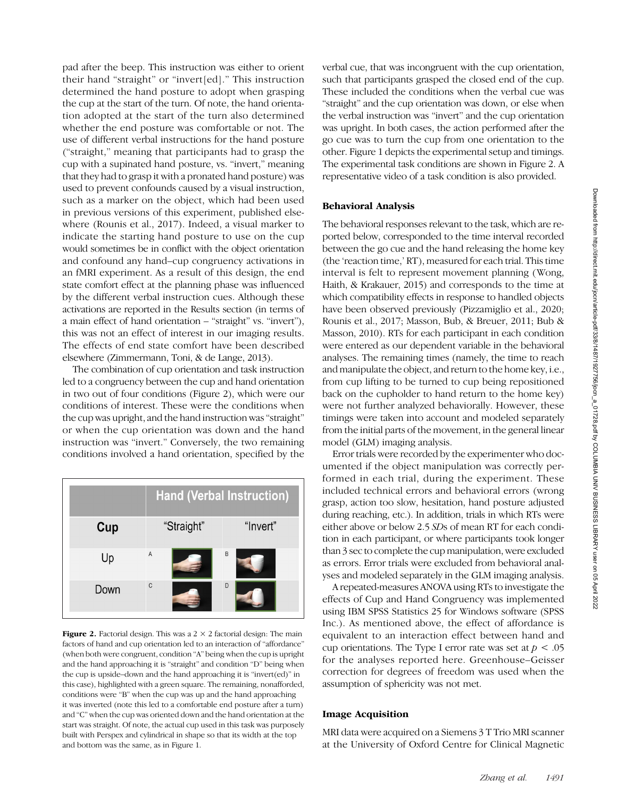pad after the beep. This instruction was either to orient their hand "straight" or "invert[ed]." This instruction determined the hand posture to adopt when grasping the cup at the start of the turn. Of note, the hand orientation adopted at the start of the turn also determined whether the end posture was comfortable or not. The use of different verbal instructions for the hand posture ("straight," meaning that participants had to grasp the cup with a supinated hand posture, vs. "invert," meaning that they had to grasp it with a pronated hand posture) was used to prevent confounds caused by a visual instruction, such as a marker on the object, which had been used in previous versions of this experiment, published elsewhere (Rounis et al., 2017). Indeed, a visual marker to indicate the starting hand posture to use on the cup would sometimes be in conflict with the object orientation and confound any hand–cup congruency activations in an fMRI experiment. As a result of this design, the end state comfort effect at the planning phase was influenced by the different verbal instruction cues. Although these activations are reported in the Results section (in terms of a main effect of hand orientation – "straight" vs. "invert"), this was not an effect of interest in our imaging results. The effects of end state comfort have been described elsewhere (Zimmermann, Toni, & de Lange, 2013).

The combination of cup orientation and task instruction led to a congruency between the cup and hand orientation in two out of four conditions (Figure 2), which were our conditions of interest. These were the conditions when the cup was upright, and the hand instruction was"straight" or when the cup orientation was down and the hand instruction was "invert." Conversely, the two remaining conditions involved a hand orientation, specified by the



**Figure 2.** Factorial design. This was a  $2 \times 2$  factorial design: The main factors of hand and cup orientation led to an interaction of "affordance" (when both were congruent, condition "A" being when the cup is upright and the hand approaching it is "straight" and condition "D" being when the cup is upside–down and the hand approaching it is "invert(ed)" in this case), highlighted with a green square. The remaining, nonafforded, conditions were "B" when the cup was up and the hand approaching it was inverted (note this led to a comfortable end posture after a turn) and "C" when the cup was oriented down and the hand orientation at the start was straight. Of note, the actual cup used in this task was purposely built with Perspex and cylindrical in shape so that its width at the top and bottom was the same, as in Figure 1.

verbal cue, that was incongruent with the cup orientation, such that participants grasped the closed end of the cup. These included the conditions when the verbal cue was "straight" and the cup orientation was down, or else when the verbal instruction was "invert" and the cup orientation was upright. In both cases, the action performed after the go cue was to turn the cup from one orientation to the other. Figure 1 depicts the experimental setup and timings. The experimental task conditions are shown in Figure 2. A representative video of a task condition is also provided.

# Behavioral Analysis

The behavioral responses relevant to the task, which are reported below, corresponded to the time interval recorded between the go cue and the hand releasing the home key (the 'reaction time,' RT), measured for each trial. This time interval is felt to represent movement planning (Wong, Haith, & Krakauer, 2015) and corresponds to the time at which compatibility effects in response to handled objects have been observed previously (Pizzamiglio et al., 2020; Rounis et al., 2017; Masson, Bub, & Breuer, 2011; Bub & Masson, 2010). RTs for each participant in each condition were entered as our dependent variable in the behavioral analyses. The remaining times (namely, the time to reach and manipulate the object, and return to the home key, i.e., from cup lifting to be turned to cup being repositioned back on the cupholder to hand return to the home key) were not further analyzed behaviorally. However, these timings were taken into account and modeled separately from the initial parts of the movement, in the general linear model (GLM) imaging analysis.

Error trials were recorded by the experimenter who documented if the object manipulation was correctly performed in each trial, during the experiment. These included technical errors and behavioral errors (wrong grasp, action too slow, hesitation, hand posture adjusted during reaching, etc.). In addition, trials in which RTs were either above or below 2.5 SDs of mean RT for each condition in each participant, or where participants took longer than 3 sec to complete the cup manipulation, were excluded as errors. Error trials were excluded from behavioral analyses and modeled separately in the GLM imaging analysis.

A repeated-measures ANOVA using RTs to investigate the effects of Cup and Hand Congruency was implemented using IBM SPSS Statistics 25 for Windows software (SPSS Inc.). As mentioned above, the effect of affordance is equivalent to an interaction effect between hand and cup orientations. The Type I error rate was set at  $p < .05$ for the analyses reported here. Greenhouse–Geisser correction for degrees of freedom was used when the assumption of sphericity was not met.

## Image Acquisition

MRI data were acquired on a Siemens 3 T Trio MRI scanner at the University of Oxford Centre for Clinical Magnetic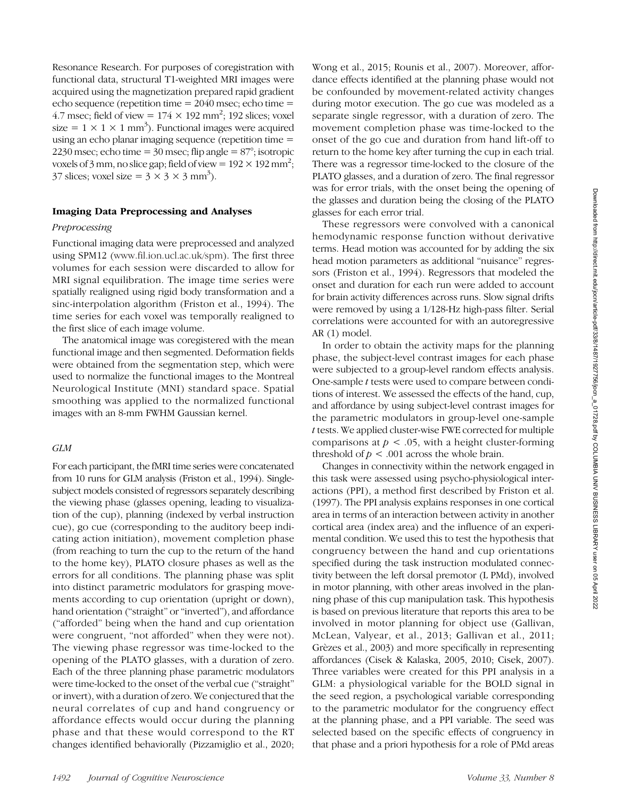Resonance Research. For purposes of coregistration with functional data, structural T1-weighted MRI images were acquired using the magnetization prepared rapid gradient echo sequence (repetition time = 2040 msec; echo time = 4.7 msec; field of view =  $174 \times 192$  mm<sup>2</sup>; 192 slices; voxel size =  $1 \times 1 \times 1$  mm<sup>3</sup>). Functional images were acquired using an echo planar imaging sequence (repetition time = 2230 msec; echo time  $=$  30 msec; flip angle  $=$  87 $\degree$ ; isotropic voxels of 3 mm, no slice gap; field of view =  $192 \times 192$  mm<sup>2</sup>; 37 slices; voxel size =  $3 \times 3 \times 3$  mm<sup>3</sup>).

# Imaging Data Preprocessing and Analyses

#### Preprocessing

Functional imaging data were preprocessed and analyzed using SPM12 ([www.fil.ion.ucl.ac.uk/spm](http://www.fil.ion.ucl.ac.uk/spm)). The first three volumes for each session were discarded to allow for MRI signal equilibration. The image time series were spatially realigned using rigid body transformation and a sinc-interpolation algorithm (Friston et al., 1994). The time series for each voxel was temporally realigned to the first slice of each image volume.

The anatomical image was coregistered with the mean functional image and then segmented. Deformation fields were obtained from the segmentation step, which were used to normalize the functional images to the Montreal Neurological Institute (MNI) standard space. Spatial smoothing was applied to the normalized functional images with an 8-mm FWHM Gaussian kernel.

### GLM

For each participant, the fMRI time series were concatenated from 10 runs for GLM analysis (Friston et al., 1994). Singlesubject models consisted of regressors separately describing the viewing phase (glasses opening, leading to visualization of the cup), planning (indexed by verbal instruction cue), go cue (corresponding to the auditory beep indicating action initiation), movement completion phase (from reaching to turn the cup to the return of the hand to the home key), PLATO closure phases as well as the errors for all conditions. The planning phase was split into distinct parametric modulators for grasping movements according to cup orientation (upright or down), hand orientation ("straight" or "inverted"), and affordance ("afforded" being when the hand and cup orientation were congruent, "not afforded" when they were not). The viewing phase regressor was time-locked to the opening of the PLATO glasses, with a duration of zero. Each of the three planning phase parametric modulators were time-locked to the onset of the verbal cue ("straight" or invert), with a duration of zero. We conjectured that the neural correlates of cup and hand congruency or affordance effects would occur during the planning phase and that these would correspond to the RT changes identified behaviorally (Pizzamiglio et al., 2020;

Wong et al., 2015; Rounis et al., 2007). Moreover, affordance effects identified at the planning phase would not be confounded by movement-related activity changes during motor execution. The go cue was modeled as a separate single regressor, with a duration of zero. The movement completion phase was time-locked to the onset of the go cue and duration from hand lift-off to return to the home key after turning the cup in each trial. There was a regressor time-locked to the closure of the PLATO glasses, and a duration of zero. The final regressor was for error trials, with the onset being the opening of the glasses and duration being the closing of the PLATO glasses for each error trial.

These regressors were convolved with a canonical hemodynamic response function without derivative terms. Head motion was accounted for by adding the six head motion parameters as additional "nuisance" regressors (Friston et al., 1994). Regressors that modeled the onset and duration for each run were added to account for brain activity differences across runs. Slow signal drifts were removed by using a 1/128-Hz high-pass filter. Serial correlations were accounted for with an autoregressive AR (1) model.

In order to obtain the activity maps for the planning phase, the subject-level contrast images for each phase were subjected to a group-level random effects analysis. One-sample t tests were used to compare between conditions of interest. We assessed the effects of the hand, cup, and affordance by using subject-level contrast images for the parametric modulators in group-level one-sample t tests. We applied cluster-wise FWE corrected for multiple comparisons at  $p < .05$ , with a height cluster-forming threshold of  $p < .001$  across the whole brain.

Changes in connectivity within the network engaged in this task were assessed using psycho-physiological interactions (PPI), a method first described by Friston et al. (1997). The PPI analysis explains responses in one cortical area in terms of an interaction between activity in another cortical area (index area) and the influence of an experimental condition. We used this to test the hypothesis that congruency between the hand and cup orientations specified during the task instruction modulated connectivity between the left dorsal premotor (L PMd), involved in motor planning, with other areas involved in the planning phase of this cup manipulation task. This hypothesis is based on previous literature that reports this area to be involved in motor planning for object use (Gallivan, McLean, Valyear, et al., 2013; Gallivan et al., 2011; Grèzes et al., 2003) and more specifically in representing affordances (Cisek & Kalaska, 2005, 2010; Cisek, 2007). Three variables were created for this PPI analysis in a GLM: a physiological variable for the BOLD signal in the seed region, a psychological variable corresponding to the parametric modulator for the congruency effect at the planning phase, and a PPI variable. The seed was selected based on the specific effects of congruency in that phase and a priori hypothesis for a role of PMd areas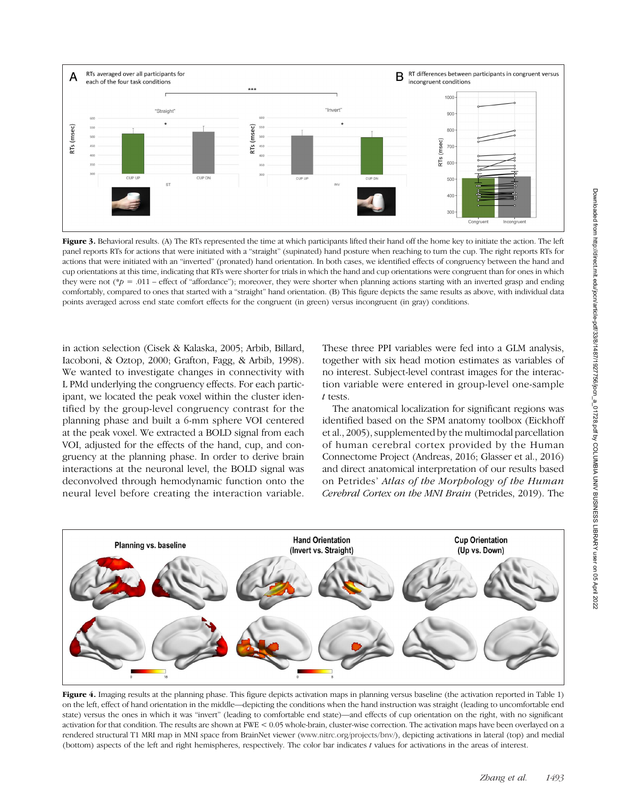

Figure 3. Behavioral results. (A) The RTs represented the time at which participants lifted their hand off the home key to initiate the action. The left panel reports RTs for actions that were initiated with a "straight" (supinated) hand posture when reaching to turn the cup. The right reports RTs for actions that were initiated with an "inverted" (pronated) hand orientation. In both cases, we identified effects of congruency between the hand and cup orientations at this time, indicating that RTs were shorter for trials in which the hand and cup orientations were congruent than for ones in which they were not (\*p = .011 – effect of "affordance"); moreover, they were shorter when planning actions starting with an inverted grasp and ending comfortably, compared to ones that started with a "straight" hand orientation. (B) This figure depicts the same results as above, with individual data points averaged across end state comfort effects for the congruent (in green) versus incongruent (in gray) conditions.

in action selection (Cisek & Kalaska, 2005; Arbib, Billard, Iacoboni, & Oztop, 2000; Grafton, Fagg, & Arbib, 1998). We wanted to investigate changes in connectivity with L PMd underlying the congruency effects. For each participant, we located the peak voxel within the cluster identified by the group-level congruency contrast for the planning phase and built a 6-mm sphere VOI centered at the peak voxel. We extracted a BOLD signal from each VOI, adjusted for the effects of the hand, cup, and congruency at the planning phase. In order to derive brain interactions at the neuronal level, the BOLD signal was deconvolved through hemodynamic function onto the neural level before creating the interaction variable.

These three PPI variables were fed into a GLM analysis, together with six head motion estimates as variables of no interest. Subject-level contrast images for the interaction variable were entered in group-level one-sample t tests.

The anatomical localization for significant regions was identified based on the SPM anatomy toolbox (Eickhoff et al., 2005), supplemented by the multimodal parcellation of human cerebral cortex provided by the Human Connectome Project (Andreas, 2016; Glasser et al., 2016) and direct anatomical interpretation of our results based on Petrides' Atlas of the Morphology of the Human Cerebral Cortex on the MNI Brain (Petrides, 2019). The



Figure 4. Imaging results at the planning phase. This figure depicts activation maps in planning versus baseline (the activation reported in Table 1) on the left, effect of hand orientation in the middle—depicting the conditions when the hand instruction was straight (leading to uncomfortable end state) versus the ones in which it was "invert" (leading to comfortable end state)—and effects of cup orientation on the right, with no significant activation for that condition. The results are shown at FWE < 0.05 whole-brain, cluster-wise correction. The activation maps have been overlayed on a rendered structural T1 MRI map in MNI space from BrainNet viewer [\(www.nitrc.org/projects/bnv/](http://www.nitrc.org/projects/bnv/)), depicting activations in lateral (top) and medial (bottom) aspects of the left and right hemispheres, respectively. The color bar indicates  $t$  values for activations in the areas of interest.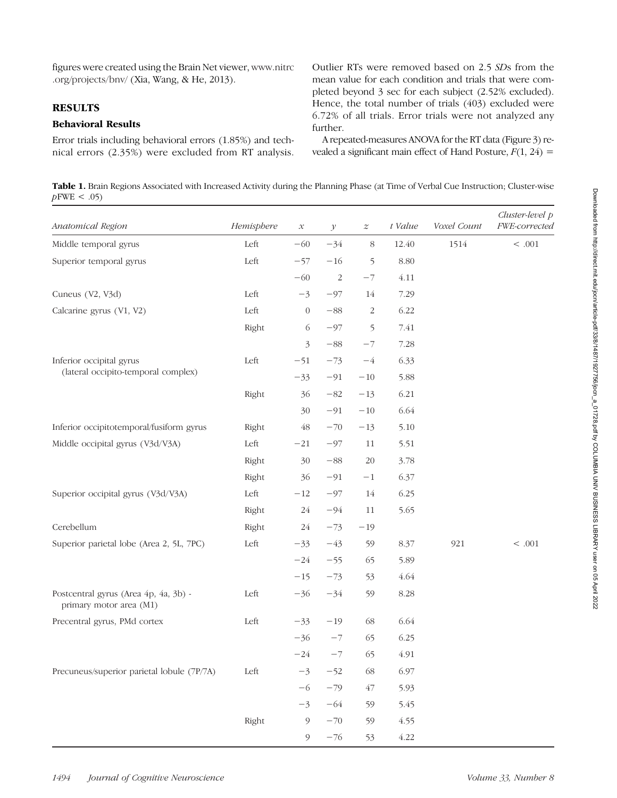figures were created using the Brain Net viewer, [www.nitrc](http://www.nitrc.org/projects/bnv/) [.org/projects/bnv/](http://www.nitrc.org/projects/bnv/) (Xia, Wang, & He, 2013).

# **RESULTS**

### Behavioral Results

Error trials including behavioral errors (1.85%) and technical errors (2.35%) were excluded from RT analysis.

Outlier RTs were removed based on 2.5 SDs from the mean value for each condition and trials that were completed beyond 3 sec for each subject (2.52% excluded). Hence, the total number of trials (403) excluded were 6.72% of all trials. Error trials were not analyzed any further.

A repeated-measures ANOVA for the RT data (Figure 3) revealed a significant main effect of Hand Posture,  $F(1, 24) =$ 

Table 1. Brain Regions Associated with Increased Activity during the Planning Phase (at Time of Verbal Cue Instruction; Cluster-wise  $p$ FWE < .05)

| Anatomical Region                                                | Hemisphere | $\mathcal{X}% _{0}=\mathcal{X}_{0}=\mathcal{X}_{0}=\mathcal{X}_{0}=\mathcal{X}_{1}=\mathcal{X}_{1}=\mathcal{X}_{2}=\mathcal{X}_{3}=\mathcal{X}_{4}=\mathcal{X}_{5}=\mathcal{X}_{6}=\mathcal{X}_{7}=\mathcal{X}_{8}=\mathcal{X}_{9}=\mathcal{X}_{1}=\mathcal{X}_{1}=\mathcal{X}_{1}=\mathcal{X}_{2}=\mathcal{X}_{3}=\mathcal{X}_{4}=\mathcal{X}_{5}=\mathcal{X}_{6}=\mathcal{X}_{7}=\mathcal{X}_{8}=\mathcal{X}_{9}=\mathcal{X}_{1}=\mathcal{X}_{1}=\math$ | $\mathcal{Y}$ | $\boldsymbol{z}$ | t Value | Voxel Count | Cluster-level p<br>FWE-corrected |
|------------------------------------------------------------------|------------|-----------------------------------------------------------------------------------------------------------------------------------------------------------------------------------------------------------------------------------------------------------------------------------------------------------------------------------------------------------------------------------------------------------------------------------------------------------|---------------|------------------|---------|-------------|----------------------------------|
| Middle temporal gyrus                                            | Left       | $-60$                                                                                                                                                                                                                                                                                                                                                                                                                                                     | $-34$         | $\,8\,$          | 12.40   | 1514        | $<\, .001$                       |
| Superior temporal gyrus                                          | Left       | $-57$                                                                                                                                                                                                                                                                                                                                                                                                                                                     | $-16$         | 5                | 8.80    |             |                                  |
|                                                                  |            | $-60$                                                                                                                                                                                                                                                                                                                                                                                                                                                     | $\sqrt{2}$    | $-7$             | 4.11    |             |                                  |
| Cuneus (V2, V3d)                                                 | Left       | $-3$                                                                                                                                                                                                                                                                                                                                                                                                                                                      | $-97$         | 14               | 7.29    |             |                                  |
| Calcarine gyrus (V1, V2)                                         | Left       | $\boldsymbol{0}$                                                                                                                                                                                                                                                                                                                                                                                                                                          | $-88$         | $\overline{c}$   | 6.22    |             |                                  |
|                                                                  | Right      | 6                                                                                                                                                                                                                                                                                                                                                                                                                                                         | $-97$         | 5                | 7.41    |             |                                  |
|                                                                  |            | 3                                                                                                                                                                                                                                                                                                                                                                                                                                                         | $-88\,$       | $-7$             | 7.28    |             |                                  |
| Inferior occipital gyrus                                         | Left       | $-51$                                                                                                                                                                                                                                                                                                                                                                                                                                                     | $-73$         | $-4$             | 6.33    |             |                                  |
| (lateral occipito-temporal complex)                              |            | $-33$                                                                                                                                                                                                                                                                                                                                                                                                                                                     | $-91$         | $-10$            | 5.88    |             |                                  |
|                                                                  | Right      | 36                                                                                                                                                                                                                                                                                                                                                                                                                                                        | $-82\,$       | $-13$            | 6.21    |             |                                  |
|                                                                  |            | 30                                                                                                                                                                                                                                                                                                                                                                                                                                                        | $-91$         | $-10$            | 6.64    |             |                                  |
| Inferior occipitotemporal/fusiform gyrus                         | Right      | 48                                                                                                                                                                                                                                                                                                                                                                                                                                                        | $-70$         | $-13$            | 5.10    |             |                                  |
| Middle occipital gyrus (V3d/V3A)                                 | Left       | $-21$                                                                                                                                                                                                                                                                                                                                                                                                                                                     | $-97$         | 11               | 5.51    |             |                                  |
|                                                                  | Right      | 30                                                                                                                                                                                                                                                                                                                                                                                                                                                        | $-88\,$       | 20               | 3.78    |             |                                  |
|                                                                  | Right      | 36                                                                                                                                                                                                                                                                                                                                                                                                                                                        | $-91$         | $-1$             | 6.37    |             |                                  |
| Superior occipital gyrus (V3d/V3A)                               | Left       | $-12$                                                                                                                                                                                                                                                                                                                                                                                                                                                     | $-97$         | 14               | 6.25    |             |                                  |
|                                                                  | Right      | 24                                                                                                                                                                                                                                                                                                                                                                                                                                                        | $-94$         | 11               | 5.65    |             |                                  |
| Cerebellum                                                       | Right      | 24                                                                                                                                                                                                                                                                                                                                                                                                                                                        | $-73$         | $-19$            |         |             |                                  |
| Superior parietal lobe (Area 2, 5L, 7PC)                         | Left       | $-33$                                                                                                                                                                                                                                                                                                                                                                                                                                                     | $-43$         | 59               | 8.37    | 921         | $< .001$                         |
|                                                                  |            | $-24$                                                                                                                                                                                                                                                                                                                                                                                                                                                     | $-55$         | 65               | 5.89    |             |                                  |
|                                                                  |            | $-15$                                                                                                                                                                                                                                                                                                                                                                                                                                                     | $-73$         | 53               | 4.64    |             |                                  |
| Postcentral gyrus (Area 4p, 4a, 3b) -<br>primary motor area (M1) | Left       | $-36$                                                                                                                                                                                                                                                                                                                                                                                                                                                     | $-34$         | 59               | 8.28    |             |                                  |
| Precentral gyrus, PMd cortex                                     | Left       | $-33$                                                                                                                                                                                                                                                                                                                                                                                                                                                     | $-19$         | 68               | 6.64    |             |                                  |
|                                                                  |            | $-36$                                                                                                                                                                                                                                                                                                                                                                                                                                                     | $-7$          | 65               | 6.25    |             |                                  |
|                                                                  |            | $-24$                                                                                                                                                                                                                                                                                                                                                                                                                                                     | $-7$          | 65               | 4.91    |             |                                  |
| Precuneus/superior parietal lobule (7P/7A)                       | Left       | $-3$                                                                                                                                                                                                                                                                                                                                                                                                                                                      | $-52$         | 68               | 6.97    |             |                                  |
|                                                                  |            | $-6$                                                                                                                                                                                                                                                                                                                                                                                                                                                      | $-79$         | 47               | 5.93    |             |                                  |
|                                                                  |            | $-3$                                                                                                                                                                                                                                                                                                                                                                                                                                                      | $-64$         | 59               | 5.45    |             |                                  |
|                                                                  | Right      | $\mathcal{P}$                                                                                                                                                                                                                                                                                                                                                                                                                                             | $-70\,$       | 59               | 4.55    |             |                                  |
|                                                                  |            | $\mathfrak{g}$                                                                                                                                                                                                                                                                                                                                                                                                                                            | $-76$         | 53               | 4.22    |             |                                  |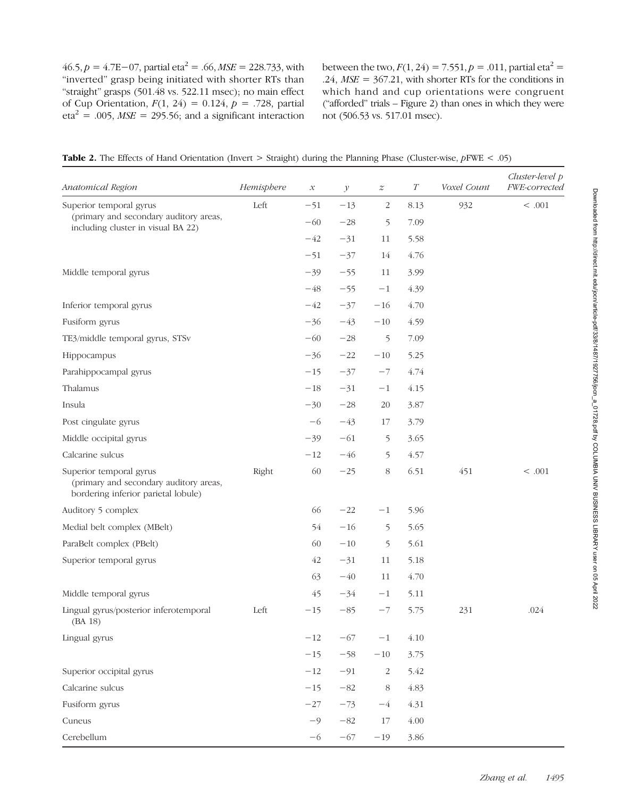46.5,  $p = 4.7E - 07$ , partial eta<sup>2</sup> = .66,  $MSE = 228.733$ , with "inverted" grasp being initiated with shorter RTs than "straight" grasps (501.48 vs. 522.11 msec); no main effect of Cup Orientation,  $F(1, 24) = 0.124$ ,  $p = .728$ , partial  $eta^2 = .005$ ,  $MSE = 295.56$ ; and a significant interaction between the two,  $F(1, 24) = 7.551$ ,  $p = .011$ , partial eta<sup>2</sup> = .24,  $MSE = 367.21$ , with shorter RTs for the conditions in which hand and cup orientations were congruent ("afforded" trials – Figure 2) than ones in which they were not (506.53 vs. 517.01 msec).

| <b>Table 2.</b> The Effects of Hand Orientation (Invert $>$ Straight) during the Planning Phase (Cluster-wise, $pFWE < .05$ ) |  |  |  |
|-------------------------------------------------------------------------------------------------------------------------------|--|--|--|
|-------------------------------------------------------------------------------------------------------------------------------|--|--|--|

| Anatomical Region                                                                                        | Hemisphere | $\mathcal{X}% _{0}$ | $\mathcal{Y}$ | $\boldsymbol{z}$ | $\cal T$ | Voxel Count | Cluster-level p<br>FWE-corrected |
|----------------------------------------------------------------------------------------------------------|------------|---------------------|---------------|------------------|----------|-------------|----------------------------------|
| Superior temporal gyrus<br>(primary and secondary auditory areas,<br>including cluster in visual BA 22)  | Left       | $-51$               | $-13$         | $\sqrt{2}$       | 8.13     | 932         | $<.001$                          |
|                                                                                                          |            | $-60$               | $-28$         | 5                | 7.09     |             |                                  |
|                                                                                                          |            | $-42$               | $-31$         | 11               | 5.58     |             |                                  |
|                                                                                                          |            | $-51$               | $-37$         | 14               | 4.76     |             |                                  |
| Middle temporal gyrus                                                                                    |            | $-39$               | $-55$         | 11               | 3.99     |             |                                  |
|                                                                                                          |            | $-48$               | $-55$         | $-1$             | 4.39     |             |                                  |
| Inferior temporal gyrus                                                                                  |            | $-42$               | $-37$         | $-16$            | 4.70     |             |                                  |
| Fusiform gyrus                                                                                           |            | $-36$               | $-43$         | $-10$            | 4.59     |             |                                  |
| TE3/middle temporal gyrus, STSv                                                                          |            | $-60$               | $-28$         | $\mathfrak{S}$   | 7.09     |             |                                  |
| Hippocampus                                                                                              |            | $-36$               | $-22$         | $-10\,$          | 5.25     |             |                                  |
| Parahippocampal gyrus                                                                                    |            | $-15$               | $-37$         | $-7$             | 4.74     |             |                                  |
| Thalamus                                                                                                 |            | $-18\,$             | $-31$         | $-1$             | 4.15     |             |                                  |
| Insula                                                                                                   |            | $-30$               | $-28$         | $20\,$           | 3.87     |             |                                  |
| Post cingulate gyrus                                                                                     |            | $-6$                | $-43$         | $17\,$           | 3.79     |             |                                  |
| Middle occipital gyrus                                                                                   |            | $-39$               | $-61$         | 5                | 3.65     |             |                                  |
| Calcarine sulcus                                                                                         |            | $-12$               | $-46$         | 5                | 4.57     |             |                                  |
| Superior temporal gyrus<br>(primary and secondary auditory areas,<br>bordering inferior parietal lobule) | Right      | 60                  | $-25$         | $8\,$            | 6.51     | 451         | $<.001$                          |
| Auditory 5 complex                                                                                       |            | 66                  | $-22$         | $-1$             | 5.96     |             |                                  |
| Medial belt complex (MBelt)                                                                              |            | 54                  | $-16$         | 5                | 5.65     |             |                                  |
| ParaBelt complex (PBelt)                                                                                 |            | 60                  | $-10$         | $\mathfrak{S}$   | 5.61     |             |                                  |
| Superior temporal gyrus                                                                                  |            | 42                  | $-31$         | $11\,$           | 5.18     |             |                                  |
|                                                                                                          |            | 63                  | $-40$         | 11               | 4.70     |             |                                  |
| Middle temporal gyrus                                                                                    |            | 45                  | $-34$         | $-1$             | 5.11     |             |                                  |
| Lingual gyrus/posterior inferotemporal<br>(BA 18)                                                        | Left       | $-15$               | $-85$         | $-7$             | 5.75     | 231         | .024                             |
| Lingual gyrus                                                                                            |            | $-12$               | $-67$         | $-1$             | 4.10     |             |                                  |
|                                                                                                          |            | $-15$               | $-58$         | $-10$            | 3.75     |             |                                  |
| Superior occipital gyrus                                                                                 |            | $-12$               | $-91$         | $\sqrt{2}$       | 5.42     |             |                                  |
| Calcarine sulcus                                                                                         |            | $-15$               | $-82$         | $8\,$            | 4.83     |             |                                  |
| Fusiform gyrus                                                                                           |            | $-27$               | $-73$         | $-4$             | 4.31     |             |                                  |
| Cuneus                                                                                                   |            | $-9$                | $-82\,$       | $17\,$           | 4.00     |             |                                  |
| Cerebellum                                                                                               |            | $-6$                | $-67$         | $-19$            | 3.86     |             |                                  |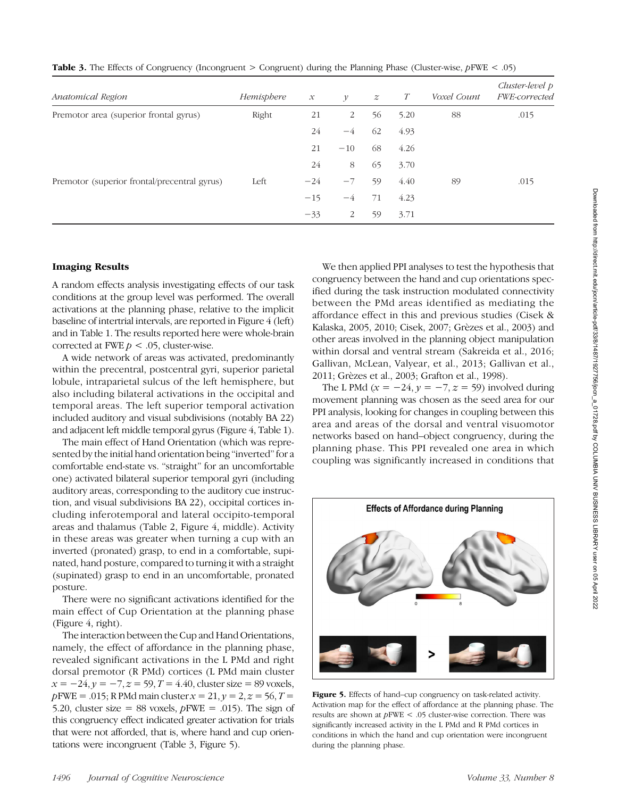| Anatomical Region                            | Hemisphere | $\mathcal{X}$ | $\mathcal V$   | $\boldsymbol{z}$ | T    | Voxel Count | Cluster-level p<br>FWE-corrected |
|----------------------------------------------|------------|---------------|----------------|------------------|------|-------------|----------------------------------|
| Premotor area (superior frontal gyrus)       | Right      | 21            | $\overline{2}$ | 56               | 5.20 | 88          | .015                             |
|                                              |            | 24            | $-4$           | 62               | 4.93 |             |                                  |
|                                              |            | 21            | $-10$          | 68               | 4.26 |             |                                  |
|                                              |            | 24            | 8              | 65               | 3.70 |             |                                  |
| Premotor (superior frontal/precentral gyrus) | Left       | $-24$         | $-7$           | 59               | 4.40 | 89          | .015                             |
|                                              |            | $-15$         | $-4$           | 71               | 4.23 |             |                                  |
|                                              |            | $-33$         | 2              | 59               | 3.71 |             |                                  |

**Table 3.** The Effects of Congruency (Incongruent  $>$  Congruent) during the Planning Phase (Cluster-wise,  $pFWE < .05$ )

### Imaging Results

A random effects analysis investigating effects of our task conditions at the group level was performed. The overall activations at the planning phase, relative to the implicit baseline of intertrial intervals, are reported in Figure 4 (left) and in Table 1. The results reported here were whole-brain corrected at FWE  $p < .05$ , cluster-wise.

A wide network of areas was activated, predominantly within the precentral, postcentral gyri, superior parietal lobule, intraparietal sulcus of the left hemisphere, but also including bilateral activations in the occipital and temporal areas. The left superior temporal activation included auditory and visual subdivisions (notably BA 22) and adjacent left middle temporal gyrus (Figure 4, Table 1).

The main effect of Hand Orientation (which was represented by the initial hand orientation being "inverted" for a comfortable end-state vs. "straight" for an uncomfortable one) activated bilateral superior temporal gyri (including auditory areas, corresponding to the auditory cue instruction, and visual subdivisions BA 22), occipital cortices including inferotemporal and lateral occipito-temporal areas and thalamus (Table 2, Figure 4, middle). Activity in these areas was greater when turning a cup with an inverted (pronated) grasp, to end in a comfortable, supinated, hand posture, compared to turning it with a straight (supinated) grasp to end in an uncomfortable, pronated posture.

There were no significant activations identified for the main effect of Cup Orientation at the planning phase (Figure 4, right).

The interaction between the Cup and Hand Orientations, namely, the effect of affordance in the planning phase, revealed significant activations in the L PMd and right dorsal premotor (R PMd) cortices (L PMd main cluster  $x = -24$ ,  $y = -7$ ,  $z = 59$ ,  $T = 4.40$ , cluster size = 89 voxels,  $p$ FWE = .015; R PMd main cluster  $x = 21$ ,  $y = 2$ ,  $z = 56$ ,  $T =$ 5.20, cluster size = 88 voxels,  $p$ FWE = .015). The sign of this congruency effect indicated greater activation for trials that were not afforded, that is, where hand and cup orientations were incongruent (Table 3, Figure 5).

We then applied PPI analyses to test the hypothesis that congruency between the hand and cup orientations specified during the task instruction modulated connectivity between the PMd areas identified as mediating the affordance effect in this and previous studies (Cisek & Kalaska, 2005, 2010; Cisek, 2007; Grèzes et al., 2003) and other areas involved in the planning object manipulation within dorsal and ventral stream (Sakreida et al., 2016; Gallivan, McLean, Valyear, et al., 2013; Gallivan et al., 2011; Grèzes et al., 2003; Grafton et al., 1998).

The L PMd ( $x = -24$ ,  $y = -7$ ,  $z = 59$ ) involved during movement planning was chosen as the seed area for our PPI analysis, looking for changes in coupling between this area and areas of the dorsal and ventral visuomotor networks based on hand–object congruency, during the planning phase. This PPI revealed one area in which coupling was significantly increased in conditions that



Figure 5. Effects of hand–cup congruency on task-related activity. Activation map for the effect of affordance at the planning phase. The results are shown at pFWE < .05 cluster-wise correction. There was significantly increased activity in the L PMd and R PMd cortices in conditions in which the hand and cup orientation were incongruent during the planning phase.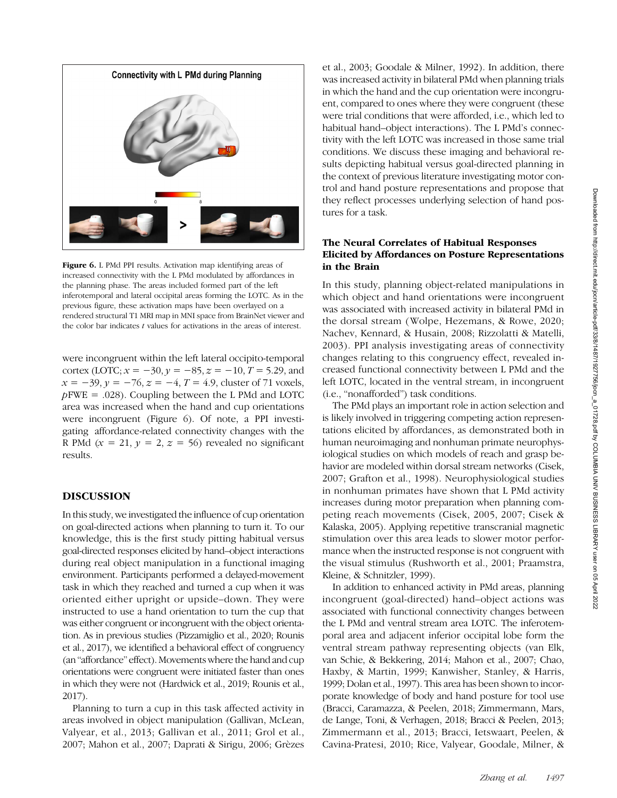

Figure 6. L PMd PPI results. Activation map identifying areas of increased connectivity with the L PMd modulated by affordances in the planning phase. The areas included formed part of the left inferotemporal and lateral occipital areas forming the LOTC. As in the previous figure, these activation maps have been overlayed on a rendered structural T1 MRI map in MNI space from BrainNet viewer and the color bar indicates  $t$  values for activations in the areas of interest.

were incongruent within the left lateral occipito-temporal cortex (LOTC;  $x = -30$ ,  $y = -85$ ,  $z = -10$ ,  $T = 5.29$ , and  $x = -39, y = -76, z = -4, T = 4.9$ , cluster of 71 voxels,  $p$ FWE = .028). Coupling between the L PMd and LOTC area was increased when the hand and cup orientations were incongruent (Figure 6). Of note, a PPI investigating affordance-related connectivity changes with the R PMd  $(x = 21, y = 2, z = 56)$  revealed no significant results.

### DISCUSSION

In this study, we investigated the influence of cup orientation on goal-directed actions when planning to turn it. To our knowledge, this is the first study pitting habitual versus goal-directed responses elicited by hand–object interactions during real object manipulation in a functional imaging environment. Participants performed a delayed-movement task in which they reached and turned a cup when it was oriented either upright or upside–down. They were instructed to use a hand orientation to turn the cup that was either congruent or incongruent with the object orientation. As in previous studies (Pizzamiglio et al., 2020; Rounis et al., 2017), we identified a behavioral effect of congruency (an "affordance" effect). Movements where the hand and cup orientations were congruent were initiated faster than ones in which they were not (Hardwick et al., 2019; Rounis et al., 2017).

Planning to turn a cup in this task affected activity in areas involved in object manipulation (Gallivan, McLean, Valyear, et al., 2013; Gallivan et al., 2011; Grol et al., 2007; Mahon et al., 2007; Daprati & Sirigu, 2006; Grèzes

et al., 2003; Goodale & Milner, 1992). In addition, there was increased activity in bilateral PMd when planning trials in which the hand and the cup orientation were incongruent, compared to ones where they were congruent (these were trial conditions that were afforded, i.e., which led to habitual hand–object interactions). The L PMd's connectivity with the left LOTC was increased in those same trial conditions. We discuss these imaging and behavioral results depicting habitual versus goal-directed planning in the context of previous literature investigating motor control and hand posture representations and propose that they reflect processes underlying selection of hand postures for a task.

### The Neural Correlates of Habitual Responses Elicited by Affordances on Posture Representations in the Brain

In this study, planning object-related manipulations in which object and hand orientations were incongruent was associated with increased activity in bilateral PMd in the dorsal stream (Wolpe, Hezemans, & Rowe, 2020; Nachev, Kennard, & Husain, 2008; Rizzolatti & Matelli, 2003). PPI analysis investigating areas of connectivity changes relating to this congruency effect, revealed increased functional connectivity between L PMd and the left LOTC, located in the ventral stream, in incongruent (i.e., "nonafforded") task conditions.

The PMd plays an important role in action selection and is likely involved in triggering competing action representations elicited by affordances, as demonstrated both in human neuroimaging and nonhuman primate neurophysiological studies on which models of reach and grasp behavior are modeled within dorsal stream networks (Cisek, 2007; Grafton et al., 1998). Neurophysiological studies in nonhuman primates have shown that L PMd activity increases during motor preparation when planning competing reach movements (Cisek, 2005, 2007; Cisek & Kalaska, 2005). Applying repetitive transcranial magnetic stimulation over this area leads to slower motor performance when the instructed response is not congruent with the visual stimulus (Rushworth et al., 2001; Praamstra, Kleine, & Schnitzler, 1999).

In addition to enhanced activity in PMd areas, planning incongruent (goal-directed) hand–object actions was associated with functional connectivity changes between the L PMd and ventral stream area LOTC. The inferotemporal area and adjacent inferior occipital lobe form the ventral stream pathway representing objects (van Elk, van Schie, & Bekkering, 2014; Mahon et al., 2007; Chao, Haxby, & Martin, 1999; Kanwisher, Stanley, & Harris, 1999; Dolan et al., 1997). This area has been shown to incorporate knowledge of body and hand posture for tool use (Bracci, Caramazza, & Peelen, 2018; Zimmermann, Mars, de Lange, Toni, & Verhagen, 2018; Bracci & Peelen, 2013; Zimmermann et al., 2013; Bracci, Ietswaart, Peelen, & Cavina-Pratesi, 2010; Rice, Valyear, Goodale, Milner, &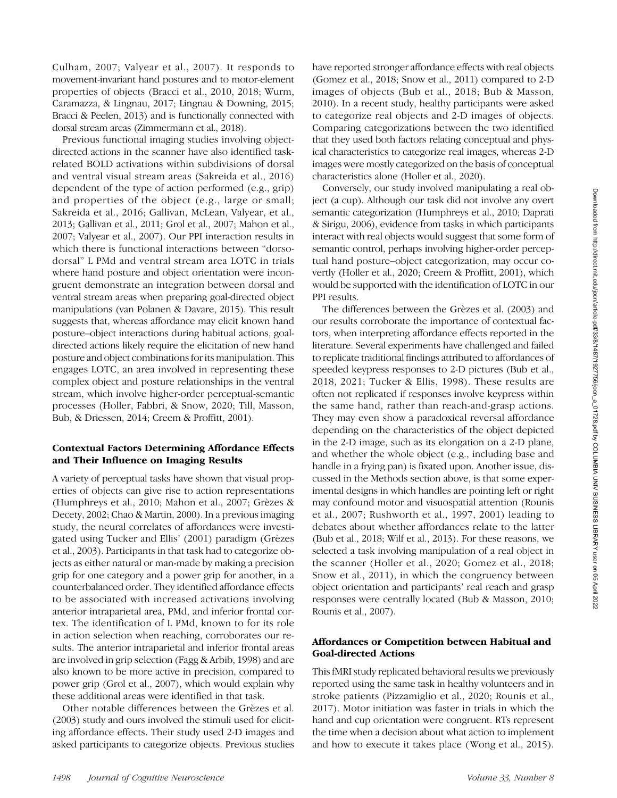Culham, 2007; Valyear et al., 2007). It responds to movement-invariant hand postures and to motor-element properties of objects (Bracci et al., 2010, 2018; Wurm, Caramazza, & Lingnau, 2017; Lingnau & Downing, 2015; Bracci & Peelen, 2013) and is functionally connected with dorsal stream areas (Zimmermann et al., 2018).

Previous functional imaging studies involving objectdirected actions in the scanner have also identified taskrelated BOLD activations within subdivisions of dorsal and ventral visual stream areas (Sakreida et al., 2016) dependent of the type of action performed (e.g., grip) and properties of the object (e.g., large or small; Sakreida et al., 2016; Gallivan, McLean, Valyear, et al., 2013; Gallivan et al., 2011; Grol et al., 2007; Mahon et al., 2007; Valyear et al., 2007). Our PPI interaction results in which there is functional interactions between "dorsodorsal" L PMd and ventral stream area LOTC in trials where hand posture and object orientation were incongruent demonstrate an integration between dorsal and ventral stream areas when preparing goal-directed object manipulations (van Polanen & Davare, 2015). This result suggests that, whereas affordance may elicit known hand posture–object interactions during habitual actions, goaldirected actions likely require the elicitation of new hand posture and object combinations for its manipulation. This engages LOTC, an area involved in representing these complex object and posture relationships in the ventral stream, which involve higher-order perceptual-semantic processes (Holler, Fabbri, & Snow, 2020; Till, Masson, Bub, & Driessen, 2014; Creem & Proffitt, 2001).

## Contextual Factors Determining Affordance Effects and Their Influence on Imaging Results

A variety of perceptual tasks have shown that visual properties of objects can give rise to action representations (Humphreys et al., 2010; Mahon et al., 2007; Grèzes & Decety, 2002; Chao & Martin, 2000). In a previous imaging study, the neural correlates of affordances were investigated using Tucker and Ellis' (2001) paradigm (Grèzes et al., 2003). Participants in that task had to categorize objects as either natural or man-made by making a precision grip for one category and a power grip for another, in a counterbalanced order. They identified affordance effects to be associated with increased activations involving anterior intraparietal area, PMd, and inferior frontal cortex. The identification of L PMd, known to for its role in action selection when reaching, corroborates our results. The anterior intraparietal and inferior frontal areas are involved in grip selection (Fagg & Arbib, 1998) and are also known to be more active in precision, compared to power grip (Grol et al., 2007), which would explain why these additional areas were identified in that task.

Other notable differences between the Grèzes et al. (2003) study and ours involved the stimuli used for eliciting affordance effects. Their study used 2-D images and asked participants to categorize objects. Previous studies

have reported stronger affordance effects with real objects (Gomez et al., 2018; Snow et al., 2011) compared to 2-D images of objects (Bub et al., 2018; Bub & Masson, 2010). In a recent study, healthy participants were asked to categorize real objects and 2-D images of objects. Comparing categorizations between the two identified that they used both factors relating conceptual and physical characteristics to categorize real images, whereas 2-D images were mostly categorized on the basis of conceptual characteristics alone (Holler et al., 2020).

Conversely, our study involved manipulating a real object (a cup). Although our task did not involve any overt semantic categorization (Humphreys et al., 2010; Daprati & Sirigu, 2006), evidence from tasks in which participants interact with real objects would suggest that some form of semantic control, perhaps involving higher-order perceptual hand posture–object categorization, may occur covertly (Holler et al., 2020; Creem & Proffitt, 2001), which would be supported with the identification of LOTC in our PPI results.

The differences between the Grèzes et al. (2003) and our results corroborate the importance of contextual factors, when interpreting affordance effects reported in the literature. Several experiments have challenged and failed to replicate traditional findings attributed to affordances of speeded keypress responses to 2-D pictures (Bub et al., 2018, 2021; Tucker & Ellis, 1998). These results are often not replicated if responses involve keypress within the same hand, rather than reach-and-grasp actions. They may even show a paradoxical reversal affordance depending on the characteristics of the object depicted in the 2-D image, such as its elongation on a 2-D plane, and whether the whole object (e.g., including base and handle in a frying pan) is fixated upon. Another issue, discussed in the Methods section above, is that some experimental designs in which handles are pointing left or right may confound motor and visuospatial attention (Rounis et al., 2007; Rushworth et al., 1997, 2001) leading to debates about whether affordances relate to the latter (Bub et al., 2018; Wilf et al., 2013). For these reasons, we selected a task involving manipulation of a real object in the scanner (Holler et al., 2020; Gomez et al., 2018; Snow et al., 2011), in which the congruency between object orientation and participants' real reach and grasp responses were centrally located (Bub & Masson, 2010; Rounis et al., 2007).

## Affordances or Competition between Habitual and Goal-directed Actions

This fMRI study replicated behavioral results we previously reported using the same task in healthy volunteers and in stroke patients (Pizzamiglio et al., 2020; Rounis et al., 2017). Motor initiation was faster in trials in which the hand and cup orientation were congruent. RTs represent the time when a decision about what action to implement and how to execute it takes place (Wong et al., 2015).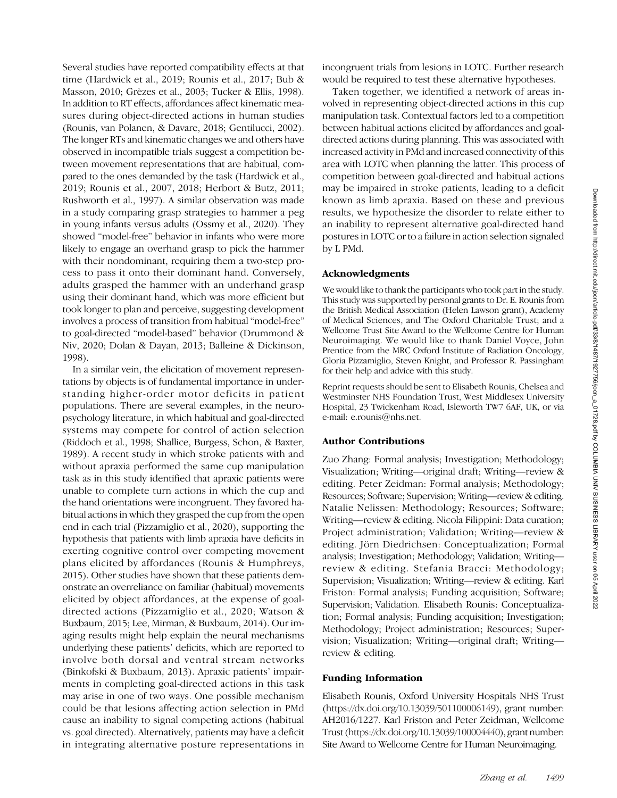Several studies have reported compatibility effects at that time (Hardwick et al., 2019; Rounis et al., 2017; Bub & Masson, 2010; Grèzes et al., 2003; Tucker & Ellis, 1998). In addition to RT effects, affordances affect kinematic measures during object-directed actions in human studies (Rounis, van Polanen, & Davare, 2018; Gentilucci, 2002). The longer RTs and kinematic changes we and others have observed in incompatible trials suggest a competition between movement representations that are habitual, compared to the ones demanded by the task (Hardwick et al., 2019; Rounis et al., 2007, 2018; Herbort & Butz, 2011; Rushworth et al., 1997). A similar observation was made in a study comparing grasp strategies to hammer a peg in young infants versus adults (Ossmy et al., 2020). They showed "model-free" behavior in infants who were more likely to engage an overhand grasp to pick the hammer with their nondominant, requiring them a two-step process to pass it onto their dominant hand. Conversely, adults grasped the hammer with an underhand grasp using their dominant hand, which was more efficient but took longer to plan and perceive, suggesting development involves a process of transition from habitual "model-free" to goal-directed "model-based" behavior (Drummond & Niv, 2020; Dolan & Dayan, 2013; Balleine & Dickinson, 1998).

In a similar vein, the elicitation of movement representations by objects is of fundamental importance in understanding higher-order motor deficits in patient populations. There are several examples, in the neuropsychology literature, in which habitual and goal-directed systems may compete for control of action selection (Riddoch et al., 1998; Shallice, Burgess, Schon, & Baxter, 1989). A recent study in which stroke patients with and without apraxia performed the same cup manipulation task as in this study identified that apraxic patients were unable to complete turn actions in which the cup and the hand orientations were incongruent. They favored habitual actions in which they grasped the cup from the open end in each trial (Pizzamiglio et al., 2020), supporting the hypothesis that patients with limb apraxia have deficits in exerting cognitive control over competing movement plans elicited by affordances (Rounis & Humphreys, 2015). Other studies have shown that these patients demonstrate an overreliance on familiar (habitual) movements elicited by object affordances, at the expense of goaldirected actions (Pizzamiglio et al., 2020; Watson & Buxbaum, 2015; Lee, Mirman, & Buxbaum, 2014). Our imaging results might help explain the neural mechanisms underlying these patients' deficits, which are reported to involve both dorsal and ventral stream networks (Binkofski & Buxbaum, 2013). Apraxic patients' impairments in completing goal-directed actions in this task may arise in one of two ways. One possible mechanism could be that lesions affecting action selection in PMd cause an inability to signal competing actions (habitual vs. goal directed). Alternatively, patients may have a deficit in integrating alternative posture representations in

incongruent trials from lesions in LOTC. Further research would be required to test these alternative hypotheses.

Taken together, we identified a network of areas involved in representing object-directed actions in this cup manipulation task. Contextual factors led to a competition between habitual actions elicited by affordances and goaldirected actions during planning. This was associated with increased activity in PMd and increased connectivity of this area with LOTC when planning the latter. This process of competition between goal-directed and habitual actions may be impaired in stroke patients, leading to a deficit known as limb apraxia. Based on these and previous results, we hypothesize the disorder to relate either to an inability to represent alternative goal-directed hand postures in LOTC or to a failure in action selection signaled by L PMd.

#### Acknowledgments

We would like to thank the participants who took part in the study. This study was supported by personal grants to Dr. E. Rounis from the British Medical Association (Helen Lawson grant), Academy of Medical Sciences, and The Oxford Charitable Trust; and a Wellcome Trust Site Award to the Wellcome Centre for Human Neuroimaging. We would like to thank Daniel Voyce, John Prentice from the MRC Oxford Institute of Radiation Oncology, Gloria Pizzamiglio, Steven Knight, and Professor R. Passingham for their help and advice with this study.

Reprint requests should be sent to Elisabeth Rounis, Chelsea and Westminster NHS Foundation Trust, West Middlesex University Hospital, 23 Twickenham Road, Isleworth TW7 6AF, UK, or via e-mail: e.rounis@nhs.net.

#### Author Contributions

Zuo Zhang: Formal analysis; Investigation; Methodology; Visualization; Writing—original draft; Writing—review & editing. Peter Zeidman: Formal analysis; Methodology; Resources; Software; Supervision; Writing—review & editing. Natalie Nelissen: Methodology; Resources; Software; Writing—review & editing. Nicola Filippini: Data curation; Project administration; Validation; Writing—review & editing. Jörn Diedrichsen: Conceptualization; Formal analysis; Investigation; Methodology; Validation; Writing review & editing. Stefania Bracci: Methodology; Supervision; Visualization; Writing—review & editing. Karl Friston: Formal analysis; Funding acquisition; Software; Supervision; Validation. Elisabeth Rounis: Conceptualization; Formal analysis; Funding acquisition; Investigation; Methodology; Project administration; Resources; Supervision; Visualization; Writing—original draft; Writing review & editing.

#### Funding Information

Elisabeth Rounis, Oxford University Hospitals NHS Trust ([https://dx.doi.org/10.13039/501100006149](http://dx.doi.org/10.13039/501100006149)), grant number: AH2016/1227. Karl Friston and Peter Zeidman, Wellcome Trust ([https://dx.doi.org/10.13039/100004440](http://dx.doi.org/10.13039/100004440)), grant number: Site Award to Wellcome Centre for Human Neuroimaging.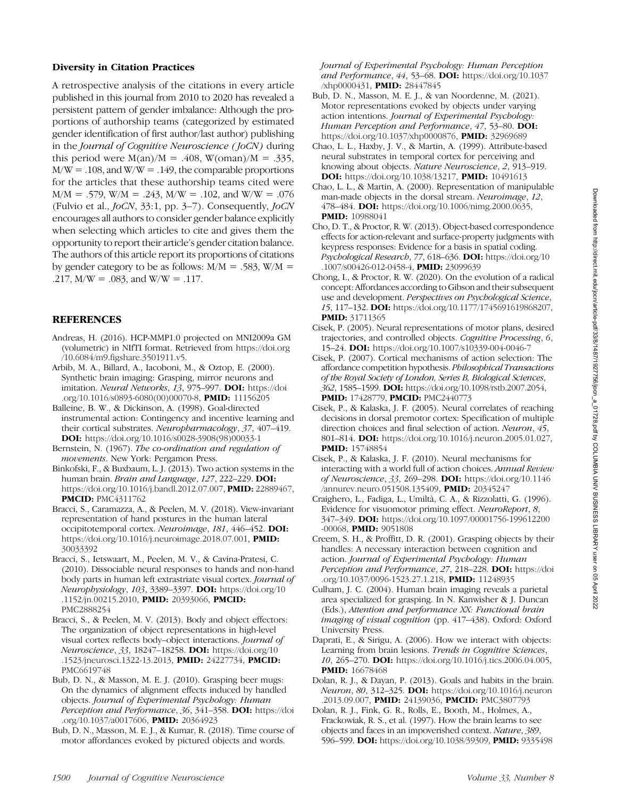### Diversity in Citation Practices

A retrospective analysis of the citations in every article published in this journal from 2010 to 2020 has revealed a persistent pattern of gender imbalance: Although the proportions of authorship teams (categorized by estimated gender identification of first author/last author) publishing in the *Journal of Cognitive Neuroscience* (*JoCN*) during this period were  $M(an)/M = .408$ ,  $W(oman)/M = .335$ ,  $M/W = .108$ , and  $W/W = .149$ , the comparable proportions for the articles that these authorship teams cited were  $M/M = .579$ , W/M = .243, M/W = .102, and W/W = .076 (Fulvio et al., JoCN, 33:1, pp. 3–7). Consequently, JoCN encourages all authors to consider gender balance explicitly when selecting which articles to cite and gives them the opportunity to report their article's gender citation balance. The authors of this article report its proportions of citations by gender category to be as follows:  $M/M = .583$ ,  $W/M =$ .217,  $M/W = .083$ , and  $W/W = .117$ .

#### REFERENCES

- Andreas, H. (2016). HCP-MMP1.0 projected on MNI2009a GM (volumetric) in NIfTI format. Retrieved from [https://doi.org](https://doi.org/10.6084/m9.figshare.3501911.v5) [/10.6084/m9.figshare.3501911.v5.](https://doi.org/10.6084/m9.figshare.3501911.v5)
- Arbib, M. A., Billard, A., Iacoboni, M., & Oztop, E. (2000). Synthetic brain imaging: Grasping, mirror neurons and imitation. Neural Networks, 13, 975-997. DOI: [https://doi](https://doi.org/10.1016/s0893-6080(00)00070-8) [.org/10.1016/s0893-6080\(00\)00070-8](https://doi.org/10.1016/s0893-6080(00)00070-8), PMID: [11156205](https://europepmc.org/article/MED/11156205)
- Balleine, B. W., & Dickinson, A. (1998). Goal-directed instrumental action: Contingency and incentive learning and their cortical substrates. Neuropharmacology, 37, 407–419. DOI: [https://doi.org/10.1016/s0028-3908\(98\)00033-1](https://doi.org/10.1016/s0028-3908(98)00033-1)
- Bernstein, N. (1967). The co-ordination and regulation of movements. New York: Pergamon Press.
- Binkofski, F., & Buxbaum, L. J. (2013). Two action systems in the human brain. Brain and Language, 127, 222-229. DOI: <https://doi.org/10.1016/j.bandl.2012.07.007>, **PMID:** [22889467,](https://europepmc.org/article/MED/22889467) **PMCID: [PMC4311762](https://www.ncbi.nlm.nih.gov/pmc/articles/PMC4311762)**
- Bracci, S., Caramazza, A., & Peelen, M. V. (2018). View-invariant representation of hand postures in the human lateral occipitotemporal cortex. Neuroimage, 181, 446–452. DOI: [https://doi.org/10.1016/j.neuroimage.2018.07.001,](https://doi.org/10.1016/j.neuroimage.2018.07.001) PMID: [30033392](https://europepmc.org/article/MED/30033392)
- Bracci, S., Ietswaart, M., Peelen, M. V., & Cavina-Pratesi, C. (2010). Dissociable neural responses to hands and non-hand body parts in human left extrastriate visual cortex. Journal of Neurophysiology, 103, 3389–3397. DOI: [https://doi.org/10](https://doi.org/10.1152/jn.00215.2010) [.1152/jn.00215.2010,](https://doi.org/10.1152/jn.00215.2010) PMID: [20393066](https://europepmc.org/article/MED/20393066), PMCID: [PMC2888254](https://www.ncbi.nlm.nih.gov/pmc/articles/PMC2888254)
- Bracci, S., & Peelen, M. V. (2013). Body and object effectors: The organization of object representations in high-level visual cortex reflects body–object interactions. Journal of Neuroscience, 33, 18247–18258. DOI: [https://doi.org/10](https://doi.org/10.1523/jneurosci.1322-13.2013) [.1523/jneurosci.1322-13.2013](https://doi.org/10.1523/jneurosci.1322-13.2013), PMID: [24227734,](https://europepmc.org/article/MED/24227734) PMCID: [PMC6619748](https://www.ncbi.nlm.nih.gov/pmc/articles/PMC6619748)
- Bub, D. N., & Masson, M. E. J. (2010). Grasping beer mugs: On the dynamics of alignment effects induced by handled objects. Journal of Experimental Psychology: Human Perception and Performance, 36, 341-358. DOI: [https://doi](https://doi.org/10.1037/a0017606) [.org/10.1037/a0017606,](https://doi.org/10.1037/a0017606) PMID: [20364923](https://europepmc.org/article/MED/20364923)
- Bub, D. N., Masson, M. E. J., & Kumar, R. (2018). Time course of motor affordances evoked by pictured objects and words.

Journal of Experimental Psychology: Human Perception and Performance, 44, 53–68. DOI: [https://doi.org/10.1037](https://doi.org/10.1037/xhp0000431) [/xhp0000431](https://doi.org/10.1037/xhp0000431), PMID: [28447845](https://europepmc.org/article/MED/28447845)

- Bub, D. N., Masson, M. E. J., & van Noordenne, M. (2021). Motor representations evoked by objects under varying action intentions. Journal of Experimental Psychology: Human Perception and Performance, 47, 53-80. DOI: [https://doi.org/10.1037/xhp0000876,](https://doi.org/10.1037/xhp0000876) PMID: [32969689](https://europepmc.org/article/MED/32969689)
- Chao, L. L., Haxby, J. V., & Martin, A. (1999). Attribute-based neural substrates in temporal cortex for perceiving and knowing about objects. Nature Neuroscience, 2, 913–919. DOI: [https://doi.org/10.1038/13217,](https://doi.org/10.1038/13217) PMID: [10491613](https://europepmc.org/article/MED/10491613)
- Chao, L. L., & Martin, A. (2000). Representation of manipulable man-made objects in the dorsal stream. Neuroimage, 12, 478–484. DOI: [https://doi.org/10.1006/nimg.2000.0635,](https://doi.org/10.1006/nimg.2000.0635) **PMID:** [10988041](https://europepmc.org/article/MED/10988041)
- Cho, D. T., & Proctor, R. W. (2013). Object-based correspondence effects for action-relevant and surface-property judgments with keypress responses: Evidence for a basis in spatial coding. Psychological Research, 77, 618–636. DOI: [https://doi.org/10](https://doi.org/10.1007/s00426-012-0458-4) [.1007/s00426-012-0458-4,](https://doi.org/10.1007/s00426-012-0458-4) PMID: [23099639](https://europepmc.org/article/MED/23099639)
- Chong, I., & Proctor, R. W. (2020). On the evolution of a radical concept: Affordances according to Gibson and their subsequent use and development. Perspectives on Psychological Science, 15, 117–132. DOI: [https://doi.org/10.1177/1745691619868207,](https://doi.org/10.1177/1745691619868207) PMID: [31711365](https://europepmc.org/article/MED/31711365)
- Cisek, P. (2005). Neural representations of motor plans, desired trajectories, and controlled objects. Cognitive Processing, 6, 15–24. DOI: <https://doi.org/10.1007/s10339-004-0046-7>
- Cisek, P. (2007). Cortical mechanisms of action selection: The affordance competition hypothesis. Philosophical Transactions of the Royal Society of London, Series B, Biological Sciences, 362, 1585–1599. DOI: <https://doi.org/10.1098/rstb.2007.2054>, PMID: [17428779](https://europepmc.org/article/MED/17428779), PMCID: [PMC2440773](https://www.ncbi.nlm.nih.gov/pmc/articles/PMC2440773)
- Cisek, P., & Kalaska, J. F. (2005). Neural correlates of reaching decisions in dorsal premotor cortex: Specification of multiple direction choices and final selection of action. Neuron, 45, 801–814. DOI: <https://doi.org/10.1016/j.neuron.2005.01.027>, PMID: [15748854](https://europepmc.org/article/MED/15748854)
- Cisek, P., & Kalaska, J. F. (2010). Neural mechanisms for interacting with a world full of action choices. Annual Review of Neuroscience, 33, 269–298. DOI: [https://doi.org/10.1146](https://doi.org/10.1146/annurev.neuro.051508.135409) [/annurev.neuro.051508.135409](https://doi.org/10.1146/annurev.neuro.051508.135409), PMID: [20345247](https://europepmc.org/article/MED/20345247)
- Craighero, L., Fadiga, L., Umiltà, C. A., & Rizzolatti, G. (1996). Evidence for visuomotor priming effect. NeuroReport, 8, 347–349. DOI: [https://doi.org/10.1097/00001756-199612200](https://doi.org/10.1097/00001756-199612200-00068) [-00068,](https://doi.org/10.1097/00001756-199612200-00068) PMID: [9051808](https://europepmc.org/article/MED/9051808)
- Creem, S. H., & Proffitt, D. R. (2001). Grasping objects by their handles: A necessary interaction between cognition and action. Journal of Experimental Psychology: Human Perception and Performance, 27, 218-228. DOI: [https://doi](https://doi.org/10.1037/0096-1523.27.1.218) [.org/10.1037/0096-1523.27.1.218](https://doi.org/10.1037/0096-1523.27.1.218), PMID: [11248935](https://europepmc.org/article/MED/11248935)
- Culham, J. C. (2004). Human brain imaging reveals a parietal area specialized for grasping. In N. Kanwisher & J. Duncan (Eds.), Attention and performance XX: Functional brain imaging of visual cognition (pp. 417–438). Oxford: Oxford University Press.
- Daprati, E., & Sirigu, A. (2006). How we interact with objects: Learning from brain lesions. Trends in Cognitive Sciences, 10, 265–270. DOI: <https://doi.org/10.1016/j.tics.2006.04.005>, **PMID:** [16678468](https://europepmc.org/article/MED/16678468)
- Dolan, R. J., & Dayan, P. (2013). Goals and habits in the brain. Neuron, 80, 312-325. **DOI:** [https://doi.org/10.1016/j.neuron](https://doi.org/10.1016/j.neuron.2013.09.007) [.2013.09.007](https://doi.org/10.1016/j.neuron.2013.09.007), PMID: [24139036,](https://europepmc.org/article/MED/24139036) PMCID: [PMC3807793](https://www.ncbi.nlm.nih.gov/pmc/articles/PMC3807793)
- Dolan, R. J., Fink, G. R., Rolls, E., Booth, M., Holmes, A., Frackowiak, R. S., et al. (1997). How the brain learns to see objects and faces in an impoverished context. Nature, 389, 596–599. DOI: [https://doi.org/10.1038/39309,](https://doi.org/10.1038/39309) PMID: [9335498](https://europepmc.org/article/MED/9335498)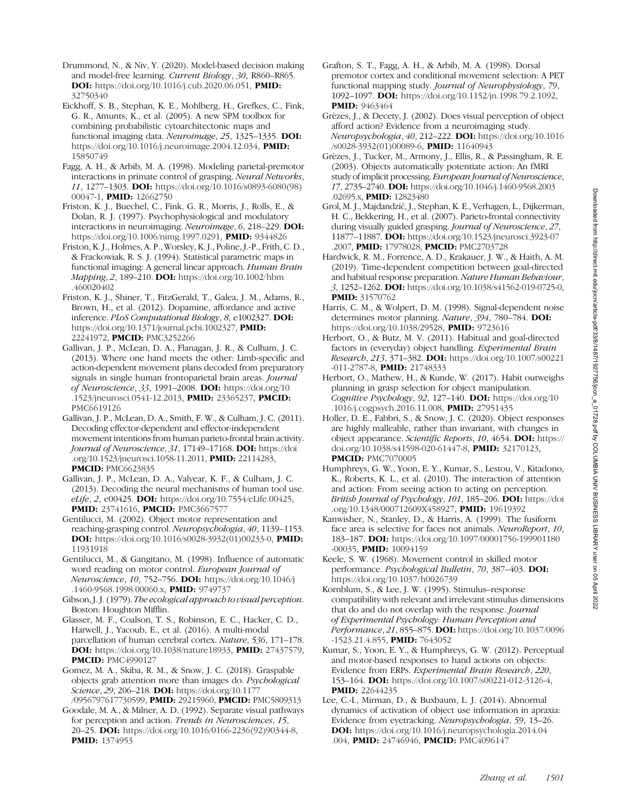Drummond, N., & Niv, Y. (2020). Model-based decision making and model-free learning. Current Biology, 30, R860–R865. DOI: [https://doi.org/10.1016/j.cub.2020.06.051,](https://doi.org/10.1016/j.cub.2020.06.051) PMID: [32750340](https://europepmc.org/article/MED/32750340)

Eickhoff, S. B., Stephan, K. E., Mohlberg, H., Grefkes, C., Fink, G. R., Amunts, K., et al. (2005). A new SPM toolbox for combining probabilistic cytoarchitectonic maps and functional imaging data. Neuroimage, 25, 1325-1335. DOI: [https://doi.org/10.1016/j.neuroimage.2004.12.034,](https://doi.org/10.1016/j.neuroimage.2004.12.034) PMID: [15850749](https://europepmc.org/article/MED/15850749)

Fagg, A. H., & Arbib, M. A. (1998). Modeling parietal-premotor interactions in primate control of grasping. Neural Networks, 11, 1277–1303. DOI: [https://doi.org/10.1016/s0893-6080\(98\)](https://doi.org/10.1016/s0893-6080(98)00047-1) [00047-1](https://doi.org/10.1016/s0893-6080(98)00047-1), **PMID**: [12662750](https://europepmc.org/article/MED/12662750)

Friston, K. J., Buechel, C., Fink, G. R., Morris, J., Rolls, E., & Dolan, R. J. (1997). Psychophysiological and modulatory interactions in neuroimaging. Neuroimage, 6, 218–229. DOI: [https://doi.org/10.1006/nimg.1997.0291,](https://doi.org/10.1006/nimg.1997.0291) PMID: [9344826](https://europepmc.org/article/MED/9344826)

Friston, K. J., Holmes, A. P., Worsley, K. J., Poline, J.-P., Frith, C. D., & Frackowiak, R. S. J. (1994). Statistical parametric maps in functional imaging: A general linear approach. Human Brain Mapping, 2, 189–210. DOI: [https://doi.org/10.1002/hbm](https://doi.org/10.1002/hbm.460020402) [.460020402](https://doi.org/10.1002/hbm.460020402)

Friston, K. J., Shiner, T., FitzGerald, T., Galea, J. M., Adams, R., Brown, H., et al. (2012). Dopamine, affordance and active inference. PLoS Computational Biology, 8, e1002327. DOI: [https://doi.org/10.1371/journal.pcbi.1002327,](https://doi.org/10.1371/journal.pcbi.1002327) PMID: [22241972](https://europepmc.org/article/MED/22241972), PMCID: [PMC3252266](https://www.ncbi.nlm.nih.gov/pmc/articles/PMC3252266)

Gallivan, J. P., McLean, D. A., Flanagan, J. R., & Culham, J. C. (2013). Where one hand meets the other: Limb-specific and action-dependent movement plans decoded from preparatory signals in single human frontoparietal brain areas. Journal of Neuroscience, 33, 1991–2008. DOI: [https://doi.org/10](https://doi.org/10.1523/jneurosci.0541-12.2013) [.1523/jneurosci.0541-12.2013,](https://doi.org/10.1523/jneurosci.0541-12.2013) PMID: [23365237](https://europepmc.org/article/MED/23365237), PMCID: [PMC6619126](https://www.ncbi.nlm.nih.gov/pmc/articles/PMC6619126)

Gallivan, J. P., McLean, D. A., Smith, F. W., & Culham, J. C. (2011). Decoding effector-dependent and effector-independent movement intentions from human parieto-frontal brain activity. Journal of Neuroscience, 31, 17149-17168. DOI: [https://doi](https://doi.org/10.1523/jneurosci.1058-11.2011) [.org/10.1523/jneurosci.1058-11.2011](https://doi.org/10.1523/jneurosci.1058-11.2011), PMID: [22114283,](https://europepmc.org/article/MED/22114283) **PMCID: [PMC6623835](https://www.ncbi.nlm.nih.gov/pmc/articles/PMC6623835)** 

Gallivan, J. P., McLean, D. A., Valyear, K. F., & Culham, J. C. (2013). Decoding the neural mechanisms of human tool use. eLife, 2, e00425. **DOI:** [https://doi.org/10.7554/eLife.00425,](https://doi.org/10.7554/eLife.00425) PMID: [23741616](https://europepmc.org/article/MED/23741616), PMCID: [PMC3667577](https://www.ncbi.nlm.nih.gov/pmc/articles/PMC3667577)

Gentilucci, M. (2002). Object motor representation and reaching-grasping control. Neuropsychologia, 40, 1139–1153. DOI: [https://doi.org/10.1016/s0028-3932\(01\)00233-0](https://doi.org/10.1016/s0028-3932(01)00233-0), PMID: [11931918](https://europepmc.org/article/MED/11931918)

Gentilucci, M., & Gangitano, M. (1998). Influence of automatic word reading on motor control. European Journal of Neuroscience, 10, 752–756. DOI: [https://doi.org/10.1046/j](https://doi.org/10.1046/j.1460-9568.1998.00060.x) [.1460-9568.1998.00060.x,](https://doi.org/10.1046/j.1460-9568.1998.00060.x) **PMID**: [9749737](https://europepmc.org/article/MED/9749737)

Gibson, J. J. (1979). The ecological approach to visual perception. Boston: Houghton Mifflin.

Glasser, M. F., Coalson, T. S., Robinson, E. C., Hacker, C. D., Harwell, J., Yacoub, E., et al. (2016). A multi-modal parcellation of human cerebral cortex. Nature, 536, 171–178. DOI: <https://doi.org/10.1038/nature18933>, PMID: [27437579,](https://europepmc.org/article/MED/27437579) **PMCID: [PMC4990127](https://www.ncbi.nlm.nih.gov/pmc/articles/PMC4990127)** 

Gomez, M. A., Skiba, R. M., & Snow, J. C. (2018). Graspable objects grab attention more than images do. Psychological Science, 29, 206-218. **DOI:** [https://doi.org/10.1177](https://doi.org/10.1177/0956797617730599)

[/0956797617730599,](https://doi.org/10.1177/0956797617730599) PMID: [29215960](https://europepmc.org/article/MED/29215960), PMCID: [PMC5809313](https://www.ncbi.nlm.nih.gov/pmc/articles/PMC5809313) Goodale, M. A., & Milner, A. D. (1992). Separate visual pathways for perception and action. Trends in Neurosciences, 15, 20–25. DOI: [https://doi.org/10.1016/0166-2236\(92\)90344-8,](https://doi.org/10.1016/0166-2236(92)90344-8) **PMID:** [1374953](https://europepmc.org/article/MED/1374953)

- Grafton, S. T., Fagg, A. H., & Arbib, M. A. (1998). Dorsal premotor cortex and conditional movement selection: A PET functional mapping study. Journal of Neurophysiology, 79, 1092–1097. DOI: [https://doi.org/10.1152/jn.1998.79.2.1092,](https://doi.org/10.1152/jn.1998.79.2.1092) **PMID: [9463464](https://europepmc.org/article/MED/9463464)**
- Grèzes, J., & Decety, J. (2002). Does visual perception of object afford action? Evidence from a neuroimaging study. Neuropsychologia, 40, 212–222. DOI: [https://doi.org/10.1016](https://doi.org/10.1016/s0028-3932(01)00089-6) [/s0028-3932\(01\)00089-6,](https://doi.org/10.1016/s0028-3932(01)00089-6) PMID: [11640943](https://europepmc.org/article/MED/11640943)
- Grèzes, J., Tucker, M., Armony, J., Ellis, R., & Passingham, R. E. (2003). Objects automatically potentiate action: An fMRI study of implicit processing. European Journal of Neuroscience, 17, 2735–2740. DOI: [https://doi.org/10.1046/j.1460-9568.2003](https://doi.org/10.1046/j.1460-9568.2003.02695.x) [.02695.x,](https://doi.org/10.1046/j.1460-9568.2003.02695.x) **PMID**: [12823480](https://europepmc.org/article/MED/12823480)
- Grol, M. J., Majdandzić, J., Stephan, K. E., Verhagen, L., Dijkerman, H. C., Bekkering, H., et al. (2007). Parieto-frontal connectivity during visually guided grasping. Journal of Neuroscience, 27, 11877–11887. DOI: [https://doi.org/10.1523/jneurosci.3923-07](https://doi.org/10.1523/jneurosci.3923-07.2007) [.2007,](https://doi.org/10.1523/jneurosci.3923-07.2007) PMID: [17978028](https://europepmc.org/article/MED/17978028), PMCID: [PMC2703728](https://www.ncbi.nlm.nih.gov/pmc/articles/PMC2703728)
- Hardwick, R. M., Forrence, A. D., Krakauer, J. W., & Haith, A. M. (2019). Time-dependent competition between goal-directed and habitual response preparation. Nature Human Behaviour, 3, 1252–1262. DOI: [https://doi.org/10.1038/s41562-019-0725-0,](https://doi.org/10.1038/s41562-019-0725-0) PMID: [31570762](https://europepmc.org/article/MED/31570762)
- Harris, C. M., & Wolpert, D. M. (1998). Signal-dependent noise determines motor planning. Nature, 394, 780-784. DOI: <https://doi.org/10.1038/29528>, PMID: [9723616](https://europepmc.org/article/MED/9723616)
- Herbort, O., & Butz, M. V. (2011). Habitual and goal-directed factors in (everyday) object handling. Experimental Brain Research, 213, 371-382. DOI: [https://doi.org/10.1007/s00221](https://doi.org/10.1007/s00221-011-2787-8) [-011-2787-8](https://doi.org/10.1007/s00221-011-2787-8), PMID: [21748333](https://europepmc.org/article/MED/21748333)
- Herbort, O., Mathew, H., & Kunde, W. (2017). Habit outweighs planning in grasp selection for object manipulation. Cognitive Psychology, 92, 127–140. DOI: [https://doi.org/10](https://doi.org/10.1016/j.cogpsych.2016.11.008) [.1016/j.cogpsych.2016.11.008,](https://doi.org/10.1016/j.cogpsych.2016.11.008) PMID: [27951435](https://europepmc.org/article/MED/27951435)

Holler, D. E., Fabbri, S., & Snow, J. C. (2020). Object responses are highly malleable, rather than invariant, with changes in object appearance. Scientific Reports, 10, 4654. DOI: [https://](https://doi.org/10.1038/s41598-020-61447-8) [doi.org/10.1038/s41598-020-61447-8](https://doi.org/10.1038/s41598-020-61447-8), PMID: [32170123,](https://europepmc.org/article/MED/32170123) **PMCID: [PMC7070005](https://www.ncbi.nlm.nih.gov/pmc/articles/PMC7070005)** 

- Humphreys, G. W., Yoon, E. Y., Kumar, S., Lestou, V., Kitadono, K., Roberts, K. L., et al. (2010). The interaction of attention and action: From seeing action to acting on perception. British Journal of Psychology, 101, 185–206. DOI: [https://doi](https://doi.org/10.1348/000712609X458927) [.org/10.1348/000712609X458927](https://doi.org/10.1348/000712609X458927), PMID: [19619392](https://europepmc.org/article/MED/19619392)
- Kanwisher, N., Stanley, D., & Harris, A. (1999). The fusiform face area is selective for faces not animals. NeuroReport, 10, 183–187. DOI: [https://doi.org/10.1097/00001756-199901180](https://doi.org/10.1097/00001756-199901180-00035) [-00035,](https://doi.org/10.1097/00001756-199901180-00035) PMID: [10094159](https://europepmc.org/article/MED/10094159)
- Keele, S. W. (1968). Movement control in skilled motor performance. Psychological Bulletin, 70, 387–403. DOI: <https://doi.org/10.1037/h0026739>
- Kornblum, S., & Lee, J. W. (1995). Stimulus–response compatibility with relevant and irrelevant stimulus dimensions that do and do not overlap with the response. Journal of Experimental Psychology: Human Perception and Performance, 21, 855-875. DOI: [https://doi.org/10.1037/0096](https://doi.org/10.1037/0096-1523.21.4.855) [-1523.21.4.855](https://doi.org/10.1037/0096-1523.21.4.855), **PMID**: [7643052](https://europepmc.org/article/MED/7643052)
- Kumar, S., Yoon, E. Y., & Humphreys, G. W. (2012). Perceptual and motor-based responses to hand actions on objects: Evidence from ERPs. Experimental Brain Research, 220, 153–164. DOI: <https://doi.org/10.1007/s00221-012-3126-4>, **PMID:** [22644235](https://europepmc.org/article/MED/22644235)

Lee, C.-I., Mirman, D., & Buxbaum, L. J. (2014). Abnormal dynamics of activation of object use information in apraxia: Evidence from eyetracking. Neuropsychologia, 59, 13–26. DOI: [https://doi.org/10.1016/j.neuropsychologia.2014.04](https://doi.org/10.1016/j.neuropsychologia.2014.04.004) [.004,](https://doi.org/10.1016/j.neuropsychologia.2014.04.004) PMID: [24746946](https://europepmc.org/article/MED/24746946), PMCID: [PMC4096147](https://www.ncbi.nlm.nih.gov/pmc/articles/PMC4096147)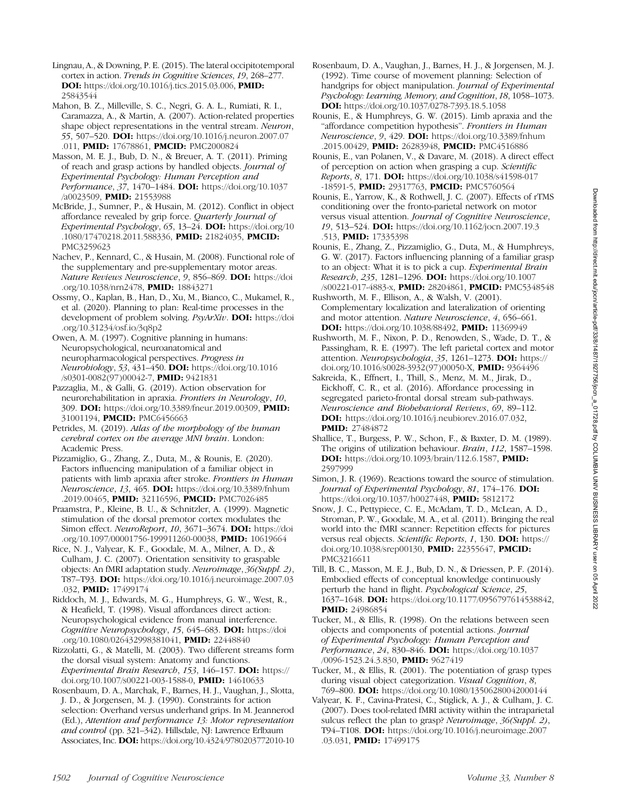- Lingnau, A., & Downing, P. E. (2015). The lateral occipitotemporal cortex in action. Trends in Cognitive Sciences, 19, 268–277. DOI: [https://doi.org/10.1016/j.tics.2015.03.006,](https://doi.org/10.1016/j.tics.2015.03.006) PMID: [25843544](https://europepmc.org/article/MED/25843544)
- Mahon, B. Z., Milleville, S. C., Negri, G. A. L., Rumiati, R. I., Caramazza, A., & Martin, A. (2007). Action-related properties shape object representations in the ventral stream. Neuron, 55, 507–520. **DOI:** [https://doi.org/10.1016/j.neuron.2007.07](https://doi.org/10.1016/j.neuron.2007.07.011) [.011,](https://doi.org/10.1016/j.neuron.2007.07.011) PMID: [17678861](https://europepmc.org/article/MED/17678861), PMCID: [PMC2000824](https://www.ncbi.nlm.nih.gov/pmc/articles/PMC2000824)
- Masson, M. E. J., Bub, D. N., & Breuer, A. T. (2011). Priming of reach and grasp actions by handled objects. *Journal of* Experimental Psychology: Human Perception and Performance, 37, 1470-1484. DOI: [https://doi.org/10.1037](https://doi.org/10.1037/a0023509) [/a0023509,](https://doi.org/10.1037/a0023509) PMID: [21553988](https://europepmc.org/article/MED/21553988)
- McBride, J., Sumner, P., & Husain, M. (2012). Conflict in object affordance revealed by grip force. Quarterly Journal of Experimental Psychology, 65, 13–24. DOI: [https://doi.org/10](https://doi.org/10.1080/17470218.2011.588336) [.1080/17470218.2011.588336](https://doi.org/10.1080/17470218.2011.588336), PMID: [21824035,](https://europepmc.org/article/MED/21824035) PMCID: [PMC3259623](https://www.ncbi.nlm.nih.gov/pmc/articles/PMC3259623)
- Nachev, P., Kennard, C., & Husain, M. (2008). Functional role of the supplementary and pre-supplementary motor areas. Nature Reviews Neuroscience, 9, 856–869. DOI: [https://doi](https://doi.org/10.1038/nrn2478) [.org/10.1038/nrn2478](https://doi.org/10.1038/nrn2478), PMID: [18843271](https://europepmc.org/article/MED/18843271)
- Ossmy, O., Kaplan, B., Han, D., Xu, M., Bianco, C., Mukamel, R., et al. (2020). Planning to plan: Real-time processes in the development of problem solving. PsyArXiv. DOI: [https://doi](https://doi.org/10.31234/osf.io/3q8p2) [.org/10.31234/osf.io/3q8p2](https://doi.org/10.31234/osf.io/3q8p2)
- Owen, A. M. (1997). Cognitive planning in humans: Neuropsychological, neuroanatomical and neuropharmacological perspectives. Progress in Neurobiology, 53, 431–450. DOI: [https://doi.org/10.1016](https://doi.org/10.1016/s0301-0082(97)00042-7) [/s0301-0082\(97\)00042-7](https://doi.org/10.1016/s0301-0082(97)00042-7), PMID: [9421831](https://europepmc.org/article/MED/9421831)
- Pazzaglia, M., & Galli, G. (2019). Action observation for neurorehabilitation in apraxia. Frontiers in Neurology, 10, 309. DOI: <https://doi.org/10.3389/fneur.2019.00309>, PMID: [31001194](https://europepmc.org/article/MED/31001194), **PMCID**: [PMC6456663](https://www.ncbi.nlm.nih.gov/pmc/articles/PMC6456663)
- Petrides, M. (2019). Atlas of the morphology of the human cerebral cortex on the average MNI brain. London: Academic Press.
- Pizzamiglio, G., Zhang, Z., Duta, M., & Rounis, E. (2020). Factors influencing manipulation of a familiar object in patients with limb apraxia after stroke. Frontiers in Human Neuroscience, 13, 465. DOI: [https://doi.org/10.3389/fnhum](https://doi.org/10.3389/fnhum.2019.00465) [.2019.00465](https://doi.org/10.3389/fnhum.2019.00465), PMID: [32116596,](https://europepmc.org/article/MED/32116596) PMCID: [PMC7026485](https://www.ncbi.nlm.nih.gov/pmc/articles/PMC7026485)
- Praamstra, P., Kleine, B. U., & Schnitzler, A. (1999). Magnetic stimulation of the dorsal premotor cortex modulates the Simon effect. NeuroReport, 10, 3671-3674. DOI: [https://doi](https://doi.org/10.1097/00001756-199911260-00038) [.org/10.1097/00001756-199911260-00038,](https://doi.org/10.1097/00001756-199911260-00038) PMID: [10619664](https://europepmc.org/article/MED/10619664)
- Rice, N. J., Valyear, K. F., Goodale, M. A., Milner, A. D., & Culham, J. C. (2007). Orientation sensitivity to graspable objects: An fMRI adaptation study. Neuroimage, 36(Suppl. 2), T87–T93. DOI: [https://doi.org/10.1016/j.neuroimage.2007.03](https://doi.org/10.1016/j.neuroimage.2007.03.032) [.032,](https://doi.org/10.1016/j.neuroimage.2007.03.032) **PMID:** [17499174](https://europepmc.org/article/MED/17499174)
- Riddoch, M. J., Edwards, M. G., Humphreys, G. W., West, R., & Heafield, T. (1998). Visual affordances direct action: Neuropsychological evidence from manual interference. Cognitive Neuropsychology, 15, 645–683. DOI: [https://doi](https://doi.org/10.1080/026432998381041) [.org/10.1080/026432998381041,](https://doi.org/10.1080/026432998381041) PMID: [22448840](https://europepmc.org/article/MED/22448840)
- Rizzolatti, G., & Matelli, M. (2003). Two different streams form the dorsal visual system: Anatomy and functions. Experimental Brain Research, 153, 146-157. DOI: [https://](https://doi.org/10.1007/s00221-003-1588-0) [doi.org/10.1007/s00221-003-1588-0,](https://doi.org/10.1007/s00221-003-1588-0) PMID: [14610633](https://europepmc.org/article/MED/14610633)
- Rosenbaum, D. A., Marchak, F., Barnes, H. J., Vaughan, J., Slotta, J. D., & Jorgensen, M. J. (1990). Constraints for action selection: Overhand versus underhand grips. In M. Jeannerod (Ed.), Attention and performance 13: Motor representation and control (pp. 321-342). Hillsdale, NJ: Lawrence Erlbaum Associates, Inc. DOI: <https://doi.org/10.4324/9780203772010-10>
- Rosenbaum, D. A., Vaughan, J., Barnes, H. J., & Jorgensen, M. J. (1992). Time course of movement planning: Selection of handgrips for object manipulation. Journal of Experimental Psychology: Learning, Memory, and Cognition, 18, 1058–1073. DOI: <https://doi.org/10.1037/0278-7393.18.5.1058>
- Rounis, E., & Humphreys, G. W. (2015). Limb apraxia and the "affordance competition hypothesis". Frontiers in Human Neuroscience, 9, 429. DOI: [https://doi.org/10.3389/fnhum](https://doi.org/10.3389/fnhum.2015.00429) [.2015.00429](https://doi.org/10.3389/fnhum.2015.00429), PMID: [26283948,](https://europepmc.org/article/MED/26283948) PMCID: [PMC4516886](https://www.ncbi.nlm.nih.gov/pmc/articles/PMC4516886)
- Rounis, E., van Polanen, V., & Davare, M. (2018). A direct effect of perception on action when grasping a cup. Scientific Reports, 8, 171. DOI: [https://doi.org/10.1038/s41598-017](https://doi.org/10.1038/s41598-017-18591-5) [-18591-5,](https://doi.org/10.1038/s41598-017-18591-5) PMID: [29317763,](https://europepmc.org/article/MED/29317763) PMCID: [PMC5760564](https://www.ncbi.nlm.nih.gov/pmc/articles/PMC5760564)
- Rounis, E., Yarrow, K., & Rothwell, J. C. (2007). Effects of rTMS conditioning over the fronto-parietal network on motor versus visual attention. Journal of Cognitive Neuroscience, 19, 513–524. DOI: [https://doi.org/10.1162/jocn.2007.19.3](https://doi.org/10.1162/jocn.2007.19.3.513) [.513,](https://doi.org/10.1162/jocn.2007.19.3.513) PMID: [17335398](https://europepmc.org/article/MED/17335398)
- Rounis, E., Zhang, Z., Pizzamiglio, G., Duta, M., & Humphreys, G. W. (2017). Factors influencing planning of a familiar grasp to an object: What it is to pick a cup. Experimental Brain Research, 235, 1281–1296. DOI: [https://doi.org/10.1007](https://doi.org/10.1007/s00221-017-4883-x) [/s00221-017-4883-x](https://doi.org/10.1007/s00221-017-4883-x), PMID: [28204861,](https://europepmc.org/article/MED/28204861) PMCID: [PMC5348548](https://www.ncbi.nlm.nih.gov/pmc/articles/PMC5348548)
- Rushworth, M. F., Ellison, A., & Walsh, V. (2001). Complementary localization and lateralization of orienting and motor attention. Nature Neuroscience, 4, 656–661. DOI: [https://doi.org/10.1038/88492,](https://doi.org/10.1038/88492) PMID: [11369949](https://europepmc.org/article/MED/11369949)
- Rushworth, M. F., Nixon, P. D., Renowden, S., Wade, D. T., & Passingham, R. E. (1997). The left parietal cortex and motor attention. Neuropsychologia, 35, 1261–1273. DOI: [https://](https://doi.org/10.1016/s0028-3932(97)00050-X) [doi.org/10.1016/s0028-3932\(97\)00050-X,](https://doi.org/10.1016/s0028-3932(97)00050-X) PMID: [9364496](https://europepmc.org/article/MED/9364496)
- Sakreida, K., Effnert, I., Thill, S., Menz, M. M., Jirak, D., Eickhoff, C. R., et al. (2016). Affordance processing in segregated parieto-frontal dorsal stream sub-pathways. Neuroscience and Biobehavioral Reviews, 69, 89–112. DOI: [https://doi.org/10.1016/j.neubiorev.2016.07.032,](https://doi.org/10.1016/j.neubiorev.2016.07.032) PMID: [27484872](https://europepmc.org/article/MED/27484872)
- Shallice, T., Burgess, P. W., Schon, F., & Baxter, D. M. (1989). The origins of utilization behaviour. Brain, 112, 1587–1598. DOI: <https://doi.org/10.1093/brain/112.6.1587>, PMID: [2597999](https://europepmc.org/article/MED/2597999)
- Simon, J. R. (1969). Reactions toward the source of stimulation. Journal of Experimental Psychology, 81, 174-176. DOI: <https://doi.org/10.1037/h0027448>, PMID: [5812172](https://europepmc.org/article/MED/5812172)
- Snow, J. C., Pettypiece, C. E., McAdam, T. D., McLean, A. D., Stroman, P. W., Goodale, M. A., et al. (2011). Bringing the real world into the fMRI scanner: Repetition effects for pictures versus real objects. Scientific Reports, 1, 130. DOI: [https://](https://doi.org/10.1038/srep00130) [doi.org/10.1038/srep00130](https://doi.org/10.1038/srep00130), PMID: [22355647,](https://europepmc.org/article/MED/22355647) PMCID: [PMC3216611](https://www.ncbi.nlm.nih.gov/pmc/articles/PMC3216611)
- Till, B. C., Masson, M. E. J., Bub, D. N., & Driessen, P. F. (2014). Embodied effects of conceptual knowledge continuously perturb the hand in flight. Psychological Science, 25, 1637–1648. DOI: [https://doi.org/10.1177/0956797614538842,](https://doi.org/10.1177/0956797614538842) **PMID:** [24986854](https://europepmc.org/article/MED/24986854)
- Tucker, M., & Ellis, R. (1998). On the relations between seen objects and components of potential actions. Journal of Experimental Psychology: Human Perception and Performance, 24, 830-846. **DOI:** [https://doi.org/10.1037](https://doi.org/10.1037/0096-1523.24.3.830) [/0096-1523.24.3.830,](https://doi.org/10.1037/0096-1523.24.3.830) PMID: [9627419](https://europepmc.org/article/MED/9627419)
- Tucker, M., & Ellis, R. (2001). The potentiation of grasp types during visual object categorization. Visual Cognition, 8, 769–800. DOI: <https://doi.org/10.1080/13506280042000144>
- Valyear, K. F., Cavina-Pratesi, C., Stiglick, A. J., & Culham, J. C. (2007). Does tool-related fMRI activity within the intraparietal sulcus reflect the plan to grasp? Neuroimage, 36(Suppl. 2), T94–T108. DOI: [https://doi.org/10.1016/j.neuroimage.2007](https://doi.org/10.1016/j.neuroimage.2007.03.031) [.03.031,](https://doi.org/10.1016/j.neuroimage.2007.03.031) PMID: [17499175](https://europepmc.org/article/MED/17499175)